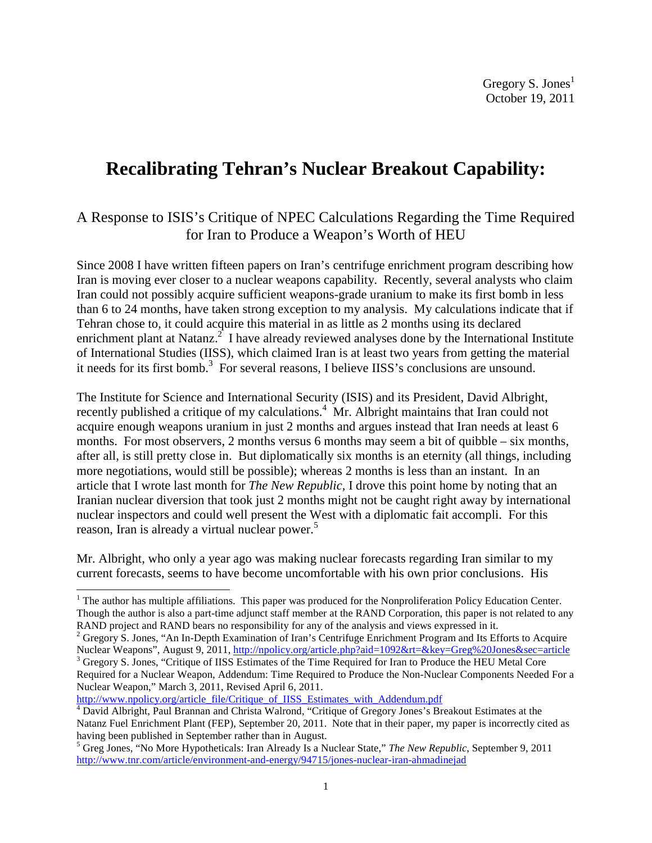# **Recalibrating Tehran's Nuclear Breakout Capability:**

# A Response to ISIS's Critique of NPEC Calculations Regarding the Time Required for Iran to Produce a Weapon's Worth of HEU

Since 2008 I have written fifteen papers on Iran's centrifuge enrichment program describing how Iran is moving ever closer to a nuclear weapons capability. Recently, several analysts who claim Iran could not possibly acquire sufficient weapons-grade uranium to make its first bomb in less than 6 to 24 months, have taken strong exception to my analysis. My calculations indicate that if Tehran chose to, it could acquire this material in as little as 2 months using its declared enrichment plant at Natanz. $2^2$  I have already reviewed analyses done by the International Institute of International Studies (IISS), which claimed Iran is at least two years from getting the material it needs for its first bomb.<sup>3</sup> For several reasons, I believe IISS's conclusions are unsound.

The Institute for Science and International Security (ISIS) and its President, David Albright, recently published a critique of my calculations.<sup>4</sup> Mr. Albright maintains that Iran could not acquire enough weapons uranium in just 2 months and argues instead that Iran needs at least 6 months. For most observers, 2 months versus 6 months may seem a bit of quibble – six months, after all, is still pretty close in. But diplomatically six months is an eternity (all things, including more negotiations, would still be possible); whereas 2 months is less than an instant. In an article that I wrote last month for *The New Republic,* I drove this point home by noting that an Iranian nuclear diversion that took just 2 months might not be caught right away by international nuclear inspectors and could well present the West with a diplomatic fait accompli. For this reason, Iran is already a virtual nuclear power.<sup>5</sup>

Mr. Albright, who only a year ago was making nuclear forecasts regarding Iran similar to my current forecasts, seems to have become uncomfortable with his own prior conclusions. His

http://www.npolicy.org/article\_file/Critique\_of\_IISS\_Estimates\_with\_Addendum.pdf

 $<sup>1</sup>$  The author has multiple affiliations. This paper was produced for the Nonproliferation Policy Education Center.</sup> Though the author is also a part-time adjunct staff member at the RAND Corporation, this paper is not related to any RAND project and RAND bears no responsibility for any of the analysis and views expressed in it.

 $2^2$  Gregory S. Jones, "An In-Depth Examination of Iran's Centrifuge Enrichment Program and Its Efforts to Acquire Nuclear Weapons", August 9, 2011, http://npolicy.org/article.php?aid=1092&rt=&key=Greg%20Jones&sec=article

<sup>&</sup>lt;sup>3</sup> Gregory S. Jones, "Critique of IISS Estimates of the Time Required for Iran to Produce the HEU Metal Core Required for a Nuclear Weapon, Addendum: Time Required to Produce the Non-Nuclear Components Needed For a Nuclear Weapon," March 3, 2011, Revised April 6, 2011.

<sup>&</sup>lt;sup>4</sup> David Albright, Paul Brannan and Christa Walrond, "Critique of Gregory Jones's Breakout Estimates at the Natanz Fuel Enrichment Plant (FEP), September 20, 2011. Note that in their paper, my paper is incorrectly cited as having been published in September rather than in August.

<sup>5</sup> Greg Jones, "No More Hypotheticals: Iran Already Is a Nuclear State," *The New Republic*, September 9, 2011 http://www.tnr.com/article/environment-and-energy/94715/jones-nuclear-iran-ahmadinejad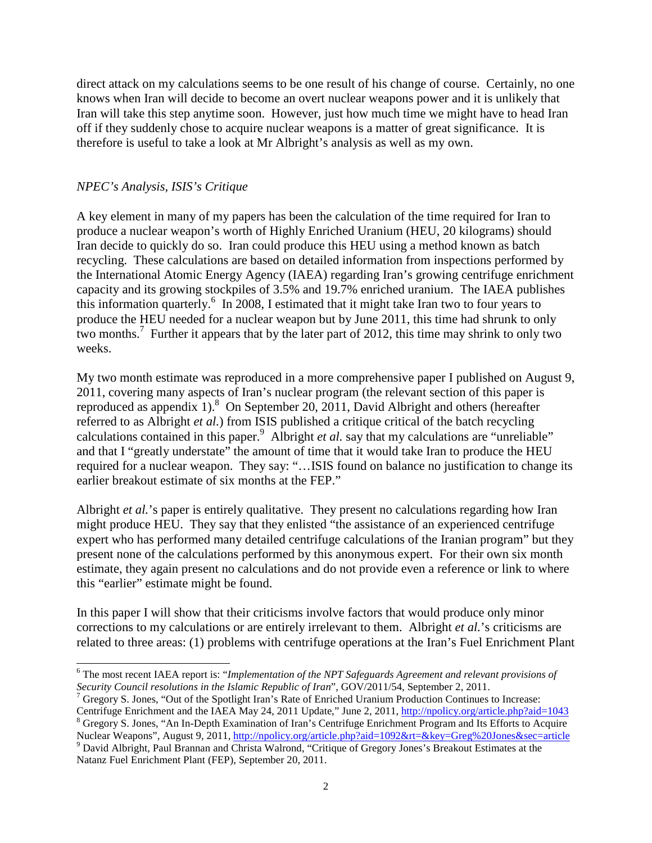direct attack on my calculations seems to be one result of his change of course. Certainly, no one knows when Iran will decide to become an overt nuclear weapons power and it is unlikely that Iran will take this step anytime soon. However, just how much time we might have to head Iran off if they suddenly chose to acquire nuclear weapons is a matter of great significance. It is therefore is useful to take a look at Mr Albright's analysis as well as my own.

## *NPEC's Analysis, ISIS's Critique*

A key element in many of my papers has been the calculation of the time required for Iran to produce a nuclear weapon's worth of Highly Enriched Uranium (HEU, 20 kilograms) should Iran decide to quickly do so. Iran could produce this HEU using a method known as batch recycling. These calculations are based on detailed information from inspections performed by the International Atomic Energy Agency (IAEA) regarding Iran's growing centrifuge enrichment capacity and its growing stockpiles of 3.5% and 19.7% enriched uranium. The IAEA publishes this information quarterly. $6 \text{ In } 2008$ , I estimated that it might take Iran two to four years to produce the HEU needed for a nuclear weapon but by June 2011, this time had shrunk to only two months.<sup>7</sup> Further it appears that by the later part of 2012, this time may shrink to only two weeks.

My two month estimate was reproduced in a more comprehensive paper I published on August 9, 2011, covering many aspects of Iran's nuclear program (the relevant section of this paper is reproduced as appendix  $1$ ).<sup>8</sup> On September 20, 2011, David Albright and others (hereafter referred to as Albright *et al.*) from ISIS published a critique critical of the batch recycling calculations contained in this paper.<sup>9</sup> Albright *et al.* say that my calculations are "unreliable" and that I "greatly understate" the amount of time that it would take Iran to produce the HEU required for a nuclear weapon. They say: "…ISIS found on balance no justification to change its earlier breakout estimate of six months at the FEP."

Albright *et al.*'s paper is entirely qualitative. They present no calculations regarding how Iran might produce HEU. They say that they enlisted "the assistance of an experienced centrifuge expert who has performed many detailed centrifuge calculations of the Iranian program" but they present none of the calculations performed by this anonymous expert. For their own six month estimate, they again present no calculations and do not provide even a reference or link to where this "earlier" estimate might be found.

In this paper I will show that their criticisms involve factors that would produce only minor corrections to my calculations or are entirely irrelevant to them. Albright *et al.*'s criticisms are related to three areas: (1) problems with centrifuge operations at the Iran's Fuel Enrichment Plant

<sup>7</sup> Gregory S. Jones, "Out of the Spotlight Iran's Rate of Enriched Uranium Production Continues to Increase: Centrifuge Enrichment and the IAEA May 24, 2011 Update," June 2, 2011, http://npolicy.org/article.php?aid=1043 <sup>8</sup> Gregory S. Jones, "An In-Depth Examination of Iran's Centrifuge Enrichment Program and Its Efforts to Acquire

Nuclear Weapons", August 9, 2011, http://npolicy.org/article.php?aid=1092&rt=&key=Greg%20Jones&sec=article <sup>9</sup> David Albright, Paul Brannan and Christa Walrond, "Critique of Gregory Jones's Breakout Estimates at the

Natanz Fuel Enrichment Plant (FEP), September 20, 2011.

 6 The most recent IAEA report is: "*Implementation of the NPT Safeguards Agreement and relevant provisions of Security Council resolutions in the Islamic Republic of Iran*", GOV/2011/54, September 2, 2011.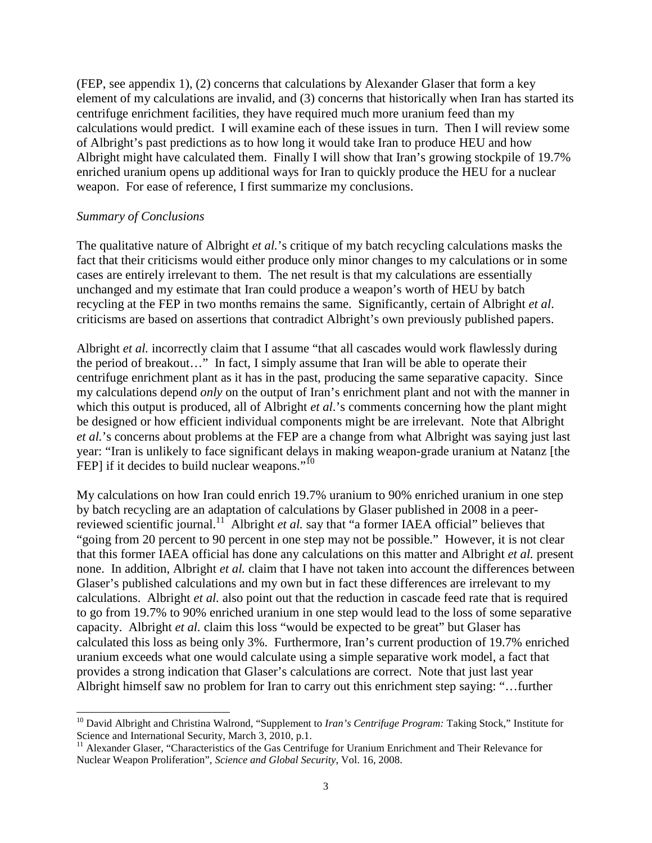(FEP, see appendix 1), (2) concerns that calculations by Alexander Glaser that form a key element of my calculations are invalid, and (3) concerns that historically when Iran has started its centrifuge enrichment facilities, they have required much more uranium feed than my calculations would predict. I will examine each of these issues in turn. Then I will review some of Albright's past predictions as to how long it would take Iran to produce HEU and how Albright might have calculated them. Finally I will show that Iran's growing stockpile of 19.7% enriched uranium opens up additional ways for Iran to quickly produce the HEU for a nuclear weapon. For ease of reference, I first summarize my conclusions.

#### *Summary of Conclusions*

1

The qualitative nature of Albright *et al.*'s critique of my batch recycling calculations masks the fact that their criticisms would either produce only minor changes to my calculations or in some cases are entirely irrelevant to them. The net result is that my calculations are essentially unchanged and my estimate that Iran could produce a weapon's worth of HEU by batch recycling at the FEP in two months remains the same. Significantly, certain of Albright *et al*. criticisms are based on assertions that contradict Albright's own previously published papers.

Albright *et al.* incorrectly claim that I assume "that all cascades would work flawlessly during the period of breakout…" In fact, I simply assume that Iran will be able to operate their centrifuge enrichment plant as it has in the past, producing the same separative capacity. Since my calculations depend *only* on the output of Iran's enrichment plant and not with the manner in which this output is produced, all of Albright *et al.*'s comments concerning how the plant might be designed or how efficient individual components might be are irrelevant. Note that Albright *et al.*'s concerns about problems at the FEP are a change from what Albright was saying just last year: "Iran is unlikely to face significant delays in making weapon-grade uranium at Natanz [the FEP] if it decides to build nuclear weapons."<sup>10</sup>

My calculations on how Iran could enrich 19.7% uranium to 90% enriched uranium in one step by batch recycling are an adaptation of calculations by Glaser published in 2008 in a peerreviewed scientific journal.<sup>11</sup> Albright *et al.* say that "a former IAEA official" believes that "going from 20 percent to 90 percent in one step may not be possible." However, it is not clear that this former IAEA official has done any calculations on this matter and Albright *et al.* present none. In addition, Albright *et al.* claim that I have not taken into account the differences between Glaser's published calculations and my own but in fact these differences are irrelevant to my calculations. Albright *et al.* also point out that the reduction in cascade feed rate that is required to go from 19.7% to 90% enriched uranium in one step would lead to the loss of some separative capacity. Albright *et al.* claim this loss "would be expected to be great" but Glaser has calculated this loss as being only 3%. Furthermore, Iran's current production of 19.7% enriched uranium exceeds what one would calculate using a simple separative work model, a fact that provides a strong indication that Glaser's calculations are correct. Note that just last year Albright himself saw no problem for Iran to carry out this enrichment step saying: "…further

<sup>&</sup>lt;sup>10</sup> David Albright and Christina Walrond, "Supplement to *Iran's Centrifuge Program:* Taking Stock," Institute for Science and International Security, March 3, 2010, p.1.

<sup>&</sup>lt;sup>11</sup> Alexander Glaser, "Characteristics of the Gas Centrifuge for Uranium Enrichment and Their Relevance for Nuclear Weapon Proliferation", *Science and Global Security*, Vol. 16, 2008.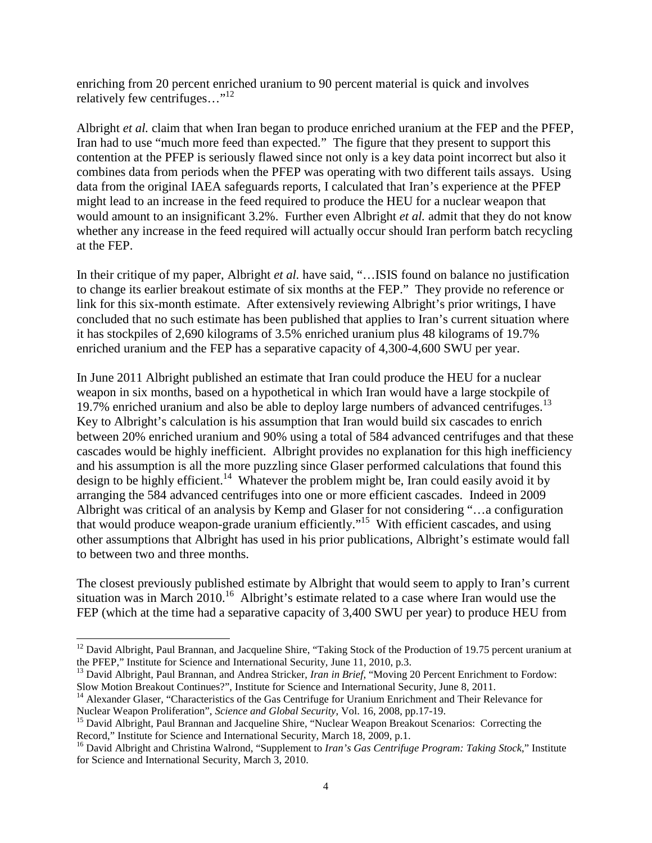enriching from 20 percent enriched uranium to 90 percent material is quick and involves relatively few centrifuges..."<sup>12</sup>

Albright *et al.* claim that when Iran began to produce enriched uranium at the FEP and the PFEP, Iran had to use "much more feed than expected." The figure that they present to support this contention at the PFEP is seriously flawed since not only is a key data point incorrect but also it combines data from periods when the PFEP was operating with two different tails assays. Using data from the original IAEA safeguards reports, I calculated that Iran's experience at the PFEP might lead to an increase in the feed required to produce the HEU for a nuclear weapon that would amount to an insignificant 3.2%. Further even Albright *et al.* admit that they do not know whether any increase in the feed required will actually occur should Iran perform batch recycling at the FEP.

In their critique of my paper, Albright *et al.* have said, "…ISIS found on balance no justification to change its earlier breakout estimate of six months at the FEP." They provide no reference or link for this six-month estimate. After extensively reviewing Albright's prior writings, I have concluded that no such estimate has been published that applies to Iran's current situation where it has stockpiles of 2,690 kilograms of 3.5% enriched uranium plus 48 kilograms of 19.7% enriched uranium and the FEP has a separative capacity of 4,300-4,600 SWU per year.

In June 2011 Albright published an estimate that Iran could produce the HEU for a nuclear weapon in six months, based on a hypothetical in which Iran would have a large stockpile of 19.7% enriched uranium and also be able to deploy large numbers of advanced centrifuges.<sup>13</sup> Key to Albright's calculation is his assumption that Iran would build six cascades to enrich between 20% enriched uranium and 90% using a total of 584 advanced centrifuges and that these cascades would be highly inefficient. Albright provides no explanation for this high inefficiency and his assumption is all the more puzzling since Glaser performed calculations that found this design to be highly efficient.<sup>14</sup> Whatever the problem might be, Iran could easily avoid it by arranging the 584 advanced centrifuges into one or more efficient cascades. Indeed in 2009 Albright was critical of an analysis by Kemp and Glaser for not considering "…a configuration that would produce weapon-grade uranium efficiently."<sup>15</sup> With efficient cascades, and using other assumptions that Albright has used in his prior publications, Albright's estimate would fall to between two and three months.

The closest previously published estimate by Albright that would seem to apply to Iran's current situation was in March  $2010$ <sup>16</sup> Albright's estimate related to a case where Iran would use the FEP (which at the time had a separative capacity of 3,400 SWU per year) to produce HEU from

1

<sup>&</sup>lt;sup>12</sup> David Albright, Paul Brannan, and Jacqueline Shire, "Taking Stock of the Production of 19.75 percent uranium at the PFEP," Institute for Science and International Security, June 11, 2010, p.3.

<sup>&</sup>lt;sup>13</sup> David Albright, Paul Brannan, and Andrea Stricker, *Iran in Brief*, "Moving 20 Percent Enrichment to Fordow: Slow Motion Breakout Continues?", Institute for Science and International Security, June 8, 2011.

<sup>&</sup>lt;sup>14</sup> Alexander Glaser, "Characteristics of the Gas Centrifuge for Uranium Enrichment and Their Relevance for Nuclear Weapon Proliferation", *Science and Global Security*, Vol. 16, 2008, pp.17-19.

<sup>&</sup>lt;sup>15</sup> David Albright, Paul Brannan and Jacqueline Shire, "Nuclear Weapon Breakout Scenarios: Correcting the Record," Institute for Science and International Security, March 18, 2009, p.1.

<sup>16</sup> David Albright and Christina Walrond, "Supplement to *Iran's Gas Centrifuge Program: Taking Stock*," Institute for Science and International Security, March 3, 2010.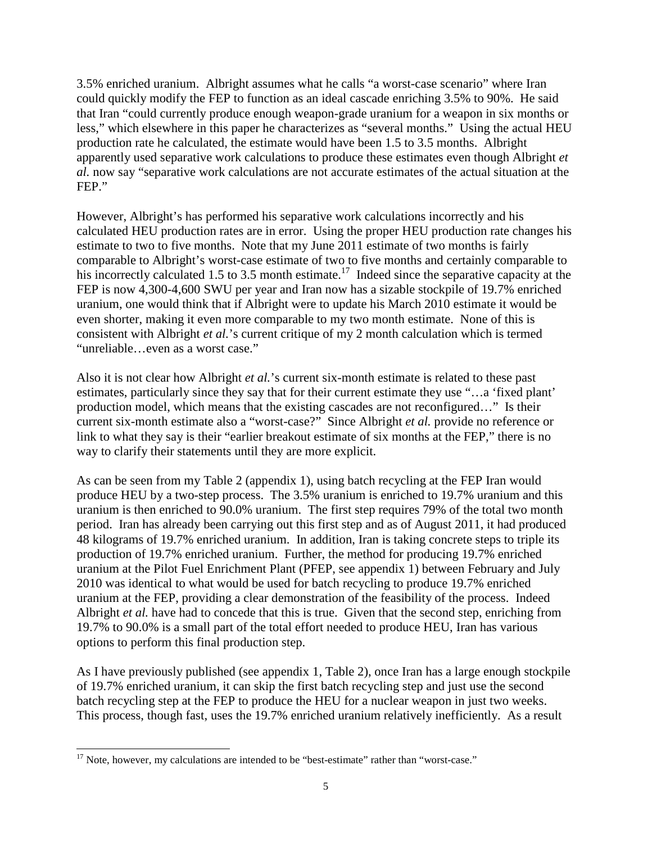3.5% enriched uranium. Albright assumes what he calls "a worst-case scenario" where Iran could quickly modify the FEP to function as an ideal cascade enriching 3.5% to 90%. He said that Iran "could currently produce enough weapon-grade uranium for a weapon in six months or less," which elsewhere in this paper he characterizes as "several months." Using the actual HEU production rate he calculated, the estimate would have been 1.5 to 3.5 months. Albright apparently used separative work calculations to produce these estimates even though Albright *et al.* now say "separative work calculations are not accurate estimates of the actual situation at the FEP."

However, Albright's has performed his separative work calculations incorrectly and his calculated HEU production rates are in error. Using the proper HEU production rate changes his estimate to two to five months. Note that my June 2011 estimate of two months is fairly comparable to Albright's worst-case estimate of two to five months and certainly comparable to his incorrectly calculated 1.5 to 3.5 month estimate.<sup>17</sup> Indeed since the separative capacity at the FEP is now 4,300-4,600 SWU per year and Iran now has a sizable stockpile of 19.7% enriched uranium, one would think that if Albright were to update his March 2010 estimate it would be even shorter, making it even more comparable to my two month estimate. None of this is consistent with Albright *et al.*'s current critique of my 2 month calculation which is termed "unreliable…even as a worst case."

Also it is not clear how Albright *et al.*'s current six-month estimate is related to these past estimates, particularly since they say that for their current estimate they use "…a 'fixed plant' production model, which means that the existing cascades are not reconfigured…" Is their current six-month estimate also a "worst-case?" Since Albright *et al.* provide no reference or link to what they say is their "earlier breakout estimate of six months at the FEP," there is no way to clarify their statements until they are more explicit.

As can be seen from my Table 2 (appendix 1), using batch recycling at the FEP Iran would produce HEU by a two-step process. The 3.5% uranium is enriched to 19.7% uranium and this uranium is then enriched to 90.0% uranium. The first step requires 79% of the total two month period. Iran has already been carrying out this first step and as of August 2011, it had produced 48 kilograms of 19.7% enriched uranium. In addition, Iran is taking concrete steps to triple its production of 19.7% enriched uranium. Further, the method for producing 19.7% enriched uranium at the Pilot Fuel Enrichment Plant (PFEP, see appendix 1) between February and July 2010 was identical to what would be used for batch recycling to produce 19.7% enriched uranium at the FEP, providing a clear demonstration of the feasibility of the process. Indeed Albright *et al.* have had to concede that this is true. Given that the second step, enriching from 19.7% to 90.0% is a small part of the total effort needed to produce HEU, Iran has various options to perform this final production step.

As I have previously published (see appendix 1, Table 2), once Iran has a large enough stockpile of 19.7% enriched uranium, it can skip the first batch recycling step and just use the second batch recycling step at the FEP to produce the HEU for a nuclear weapon in just two weeks. This process, though fast, uses the 19.7% enriched uranium relatively inefficiently. As a result

<sup>-</sup> $17$  Note, however, my calculations are intended to be "best-estimate" rather than "worst-case."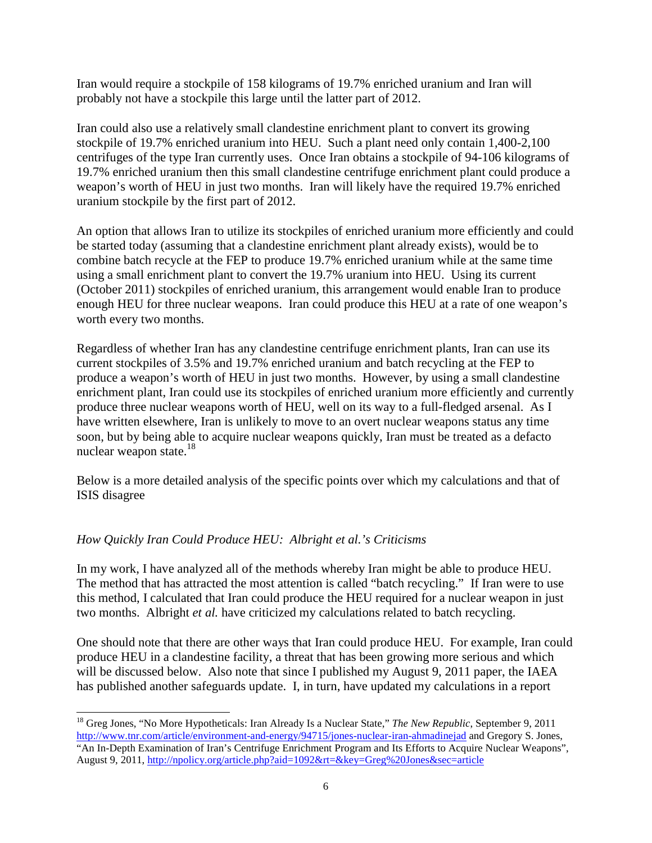Iran would require a stockpile of 158 kilograms of 19.7% enriched uranium and Iran will probably not have a stockpile this large until the latter part of 2012.

Iran could also use a relatively small clandestine enrichment plant to convert its growing stockpile of 19.7% enriched uranium into HEU. Such a plant need only contain 1,400-2,100 centrifuges of the type Iran currently uses. Once Iran obtains a stockpile of 94-106 kilograms of 19.7% enriched uranium then this small clandestine centrifuge enrichment plant could produce a weapon's worth of HEU in just two months. Iran will likely have the required 19.7% enriched uranium stockpile by the first part of 2012.

An option that allows Iran to utilize its stockpiles of enriched uranium more efficiently and could be started today (assuming that a clandestine enrichment plant already exists), would be to combine batch recycle at the FEP to produce 19.7% enriched uranium while at the same time using a small enrichment plant to convert the 19.7% uranium into HEU. Using its current (October 2011) stockpiles of enriched uranium, this arrangement would enable Iran to produce enough HEU for three nuclear weapons. Iran could produce this HEU at a rate of one weapon's worth every two months.

Regardless of whether Iran has any clandestine centrifuge enrichment plants, Iran can use its current stockpiles of 3.5% and 19.7% enriched uranium and batch recycling at the FEP to produce a weapon's worth of HEU in just two months. However, by using a small clandestine enrichment plant, Iran could use its stockpiles of enriched uranium more efficiently and currently produce three nuclear weapons worth of HEU, well on its way to a full-fledged arsenal. As I have written elsewhere, Iran is unlikely to move to an overt nuclear weapons status any time soon, but by being able to acquire nuclear weapons quickly, Iran must be treated as a defacto nuclear weapon state.<sup>18</sup>

Below is a more detailed analysis of the specific points over which my calculations and that of ISIS disagree

## *How Quickly Iran Could Produce HEU: Albright et al.'s Criticisms*

1

In my work, I have analyzed all of the methods whereby Iran might be able to produce HEU. The method that has attracted the most attention is called "batch recycling." If Iran were to use this method, I calculated that Iran could produce the HEU required for a nuclear weapon in just two months. Albright *et al.* have criticized my calculations related to batch recycling.

One should note that there are other ways that Iran could produce HEU. For example, Iran could produce HEU in a clandestine facility, a threat that has been growing more serious and which will be discussed below. Also note that since I published my August 9, 2011 paper, the IAEA has published another safeguards update. I, in turn, have updated my calculations in a report

<sup>18</sup> Greg Jones, "No More Hypotheticals: Iran Already Is a Nuclear State," *The New Republic*, September 9, 2011 http://www.tnr.com/article/environment-and-energy/94715/jones-nuclear-iran-ahmadinejad and Gregory S. Jones, "An In-Depth Examination of Iran's Centrifuge Enrichment Program and Its Efforts to Acquire Nuclear Weapons", August 9, 2011, http://npolicy.org/article.php?aid=1092&rt=&key=Greg%20Jones&sec=article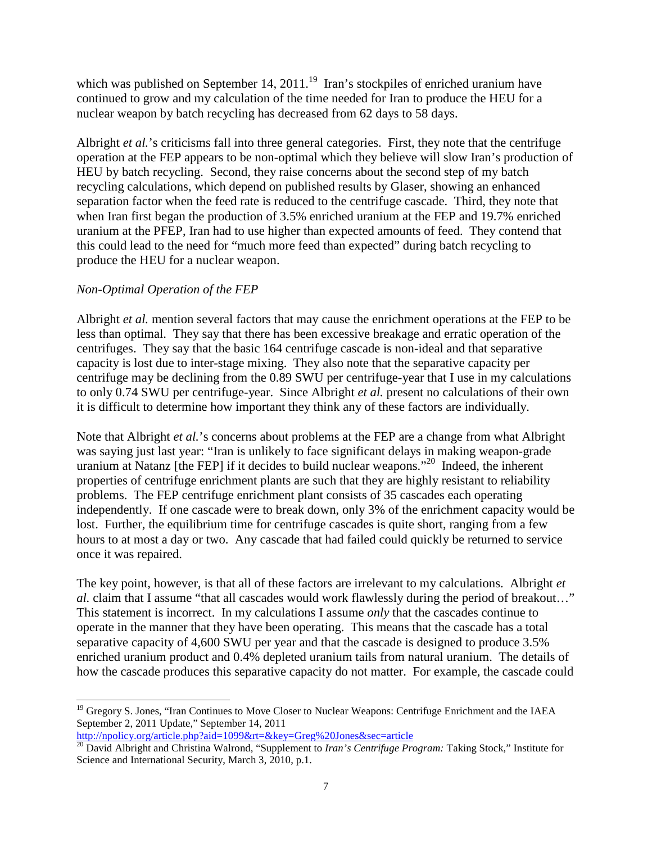which was published on September 14,  $2011<sup>19</sup>$  Iran's stockpiles of enriched uranium have continued to grow and my calculation of the time needed for Iran to produce the HEU for a nuclear weapon by batch recycling has decreased from 62 days to 58 days.

Albright *et al.*'s criticisms fall into three general categories. First, they note that the centrifuge operation at the FEP appears to be non-optimal which they believe will slow Iran's production of HEU by batch recycling. Second, they raise concerns about the second step of my batch recycling calculations, which depend on published results by Glaser, showing an enhanced separation factor when the feed rate is reduced to the centrifuge cascade. Third, they note that when Iran first began the production of 3.5% enriched uranium at the FEP and 19.7% enriched uranium at the PFEP, Iran had to use higher than expected amounts of feed. They contend that this could lead to the need for "much more feed than expected" during batch recycling to produce the HEU for a nuclear weapon.

## *Non-Optimal Operation of the FEP*

Albright *et al.* mention several factors that may cause the enrichment operations at the FEP to be less than optimal. They say that there has been excessive breakage and erratic operation of the centrifuges. They say that the basic 164 centrifuge cascade is non-ideal and that separative capacity is lost due to inter-stage mixing. They also note that the separative capacity per centrifuge may be declining from the 0.89 SWU per centrifuge-year that I use in my calculations to only 0.74 SWU per centrifuge-year. Since Albright *et al.* present no calculations of their own it is difficult to determine how important they think any of these factors are individually.

Note that Albright *et al.*'s concerns about problems at the FEP are a change from what Albright was saying just last year: "Iran is unlikely to face significant delays in making weapon-grade uranium at Natanz [the FEP] if it decides to build nuclear weapons."<sup>20</sup> Indeed, the inherent properties of centrifuge enrichment plants are such that they are highly resistant to reliability problems. The FEP centrifuge enrichment plant consists of 35 cascades each operating independently. If one cascade were to break down, only 3% of the enrichment capacity would be lost. Further, the equilibrium time for centrifuge cascades is quite short, ranging from a few hours to at most a day or two. Any cascade that had failed could quickly be returned to service once it was repaired.

The key point, however, is that all of these factors are irrelevant to my calculations. Albright *et al.* claim that I assume "that all cascades would work flawlessly during the period of breakout…" This statement is incorrect. In my calculations I assume *only* that the cascades continue to operate in the manner that they have been operating. This means that the cascade has a total separative capacity of 4,600 SWU per year and that the cascade is designed to produce 3.5% enriched uranium product and 0.4% depleted uranium tails from natural uranium. The details of how the cascade produces this separative capacity do not matter. For example, the cascade could

http://npolicy.org/article.php?aid=1099&rt=&key=Greg%20Jones&sec=article

<sup>1</sup> <sup>19</sup> Gregory S. Jones, "Iran Continues to Move Closer to Nuclear Weapons: Centrifuge Enrichment and the IAEA September 2, 2011 Update," September 14, 2011

<sup>&</sup>lt;sup>20</sup> David Albright and Christina Walrond, "Supplement to *Iran's Centrifuge Program:* Taking Stock," Institute for Science and International Security, March 3, 2010, p.1.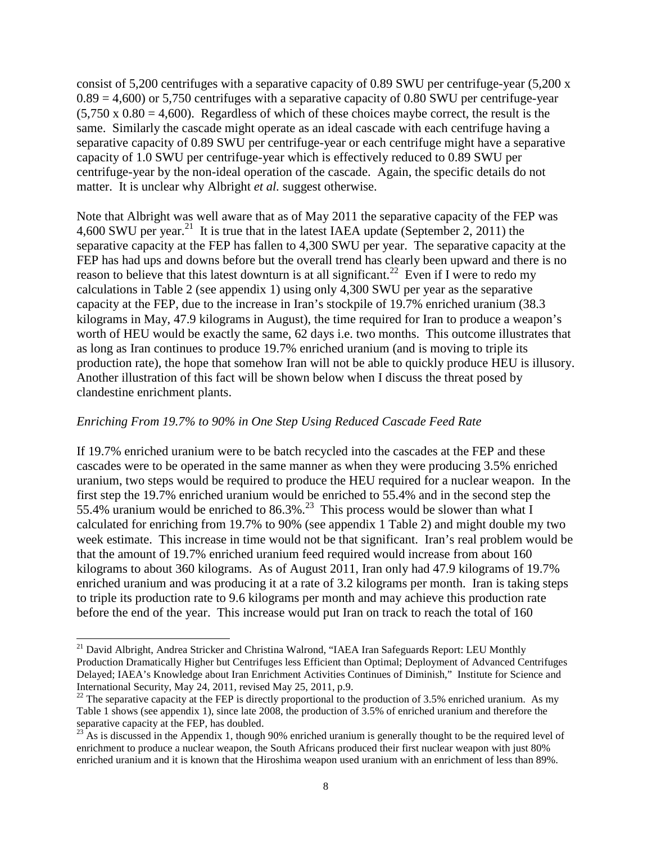consist of 5,200 centrifuges with a separative capacity of 0.89 SWU per centrifuge-year (5,200 x  $0.89 = 4,600$  or 5,750 centrifuges with a separative capacity of 0.80 SWU per centrifuge-year  $(5,750 \times 0.80 = 4,600)$ . Regardless of which of these choices maybe correct, the result is the same. Similarly the cascade might operate as an ideal cascade with each centrifuge having a separative capacity of 0.89 SWU per centrifuge-year or each centrifuge might have a separative capacity of 1.0 SWU per centrifuge-year which is effectively reduced to 0.89 SWU per centrifuge-year by the non-ideal operation of the cascade. Again, the specific details do not matter. It is unclear why Albright *et al.* suggest otherwise.

Note that Albright was well aware that as of May 2011 the separative capacity of the FEP was 4,600 SWU per year.<sup>21</sup> It is true that in the latest IAEA update (September 2, 2011) the separative capacity at the FEP has fallen to 4,300 SWU per year. The separative capacity at the FEP has had ups and downs before but the overall trend has clearly been upward and there is no reason to believe that this latest downturn is at all significant.<sup>22</sup> Even if I were to redo my calculations in Table 2 (see appendix 1) using only 4,300 SWU per year as the separative capacity at the FEP, due to the increase in Iran's stockpile of 19.7% enriched uranium (38.3 kilograms in May, 47.9 kilograms in August), the time required for Iran to produce a weapon's worth of HEU would be exactly the same, 62 days i.e. two months. This outcome illustrates that as long as Iran continues to produce 19.7% enriched uranium (and is moving to triple its production rate), the hope that somehow Iran will not be able to quickly produce HEU is illusory. Another illustration of this fact will be shown below when I discuss the threat posed by clandestine enrichment plants.

#### *Enriching From 19.7% to 90% in One Step Using Reduced Cascade Feed Rate*

1

If 19.7% enriched uranium were to be batch recycled into the cascades at the FEP and these cascades were to be operated in the same manner as when they were producing 3.5% enriched uranium, two steps would be required to produce the HEU required for a nuclear weapon. In the first step the 19.7% enriched uranium would be enriched to 55.4% and in the second step the 55.4% uranium would be enriched to 86.3%.<sup>23</sup> This process would be slower than what I calculated for enriching from 19.7% to 90% (see appendix 1 Table 2) and might double my two week estimate. This increase in time would not be that significant. Iran's real problem would be that the amount of 19.7% enriched uranium feed required would increase from about 160 kilograms to about 360 kilograms. As of August 2011, Iran only had 47.9 kilograms of 19.7% enriched uranium and was producing it at a rate of 3.2 kilograms per month. Iran is taking steps to triple its production rate to 9.6 kilograms per month and may achieve this production rate before the end of the year. This increase would put Iran on track to reach the total of 160

<sup>&</sup>lt;sup>21</sup> David Albright, Andrea Stricker and Christina Walrond, "IAEA Iran Safeguards Report: LEU Monthly Production Dramatically Higher but Centrifuges less Efficient than Optimal; Deployment of Advanced Centrifuges Delayed; IAEA's Knowledge about Iran Enrichment Activities Continues of Diminish," Institute for Science and International Security, May 24, 2011, revised May 25, 2011, p.9.

<sup>&</sup>lt;sup>22</sup> The separative capacity at the FEP is directly proportional to the production of 3.5% enriched uranium. As my Table 1 shows (see appendix 1), since late 2008, the production of 3.5% of enriched uranium and therefore the separative capacity at the FEP, has doubled.

 $^{23}$  As is discussed in the Appendix 1, though 90% enriched uranium is generally thought to be the required level of enrichment to produce a nuclear weapon, the South Africans produced their first nuclear weapon with just 80% enriched uranium and it is known that the Hiroshima weapon used uranium with an enrichment of less than 89%.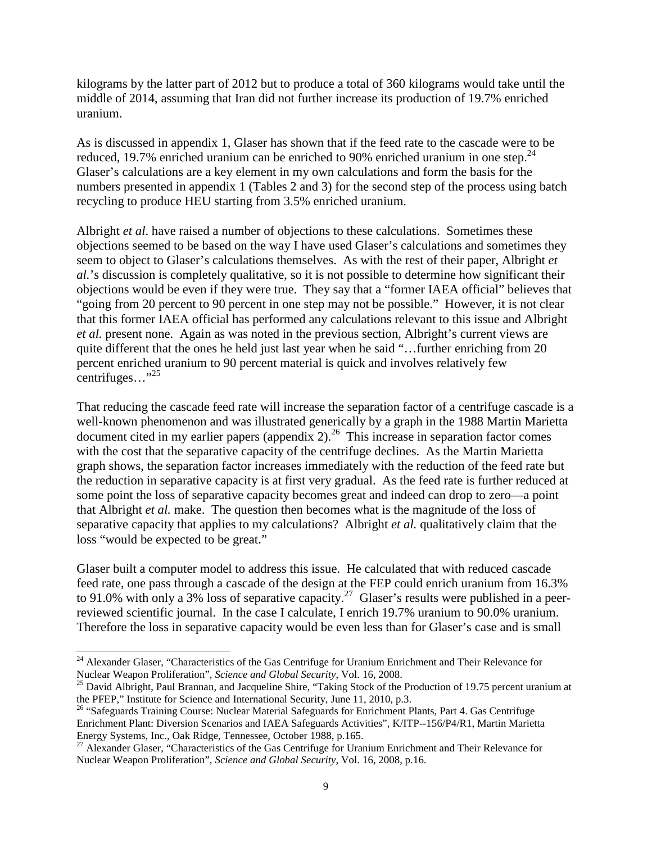kilograms by the latter part of 2012 but to produce a total of 360 kilograms would take until the middle of 2014, assuming that Iran did not further increase its production of 19.7% enriched uranium.

As is discussed in appendix 1, Glaser has shown that if the feed rate to the cascade were to be reduced, 19.7% enriched uranium can be enriched to 90% enriched uranium in one step. $^{24}$ Glaser's calculations are a key element in my own calculations and form the basis for the numbers presented in appendix 1 (Tables 2 and 3) for the second step of the process using batch recycling to produce HEU starting from 3.5% enriched uranium.

Albright *et al*. have raised a number of objections to these calculations. Sometimes these objections seemed to be based on the way I have used Glaser's calculations and sometimes they seem to object to Glaser's calculations themselves. As with the rest of their paper, Albright *et al.*'s discussion is completely qualitative, so it is not possible to determine how significant their objections would be even if they were true. They say that a "former IAEA official" believes that "going from 20 percent to 90 percent in one step may not be possible." However, it is not clear that this former IAEA official has performed any calculations relevant to this issue and Albright *et al.* present none. Again as was noted in the previous section, Albright's current views are quite different that the ones he held just last year when he said "...further enriching from 20 percent enriched uranium to 90 percent material is quick and involves relatively few centrifuges…"<sup>25</sup>

That reducing the cascade feed rate will increase the separation factor of a centrifuge cascade is a well-known phenomenon and was illustrated generically by a graph in the 1988 Martin Marietta document cited in my earlier papers (appendix 2).<sup>26</sup> This increase in separation factor comes with the cost that the separative capacity of the centrifuge declines. As the Martin Marietta graph shows, the separation factor increases immediately with the reduction of the feed rate but the reduction in separative capacity is at first very gradual. As the feed rate is further reduced at some point the loss of separative capacity becomes great and indeed can drop to zero—a point that Albright *et al.* make. The question then becomes what is the magnitude of the loss of separative capacity that applies to my calculations? Albright *et al.* qualitatively claim that the loss "would be expected to be great."

Glaser built a computer model to address this issue. He calculated that with reduced cascade feed rate, one pass through a cascade of the design at the FEP could enrich uranium from 16.3% to 91.0% with only a 3% loss of separative capacity.<sup>27</sup> Glaser's results were published in a peerreviewed scientific journal. In the case I calculate, I enrich 19.7% uranium to 90.0% uranium. Therefore the loss in separative capacity would be even less than for Glaser's case and is small

<sup>&</sup>lt;sup>24</sup> Alexander Glaser, "Characteristics of the Gas Centrifuge for Uranium Enrichment and Their Relevance for Nuclear Weapon Proliferation", *Science and Global Security*, Vol. 16, 2008.

<sup>&</sup>lt;sup>25</sup> David Albright, Paul Brannan, and Jacqueline Shire, "Taking Stock of the Production of 19.75 percent uranium at the PFEP," Institute for Science and International Security, June 11, 2010, p.3.

<sup>&</sup>lt;sup>26</sup> "Safeguards Training Course: Nuclear Material Safeguards for Enrichment Plants, Part 4. Gas Centrifuge Enrichment Plant: Diversion Scenarios and IAEA Safeguards Activities", K/ITP--156/P4/R1, Martin Marietta Energy Systems, Inc., Oak Ridge, Tennessee, October 1988, p.165.

<sup>&</sup>lt;sup>27</sup> Alexander Glaser, "Characteristics of the Gas Centrifuge for Uranium Enrichment and Their Relevance for Nuclear Weapon Proliferation", *Science and Global Security*, Vol. 16, 2008, p.16.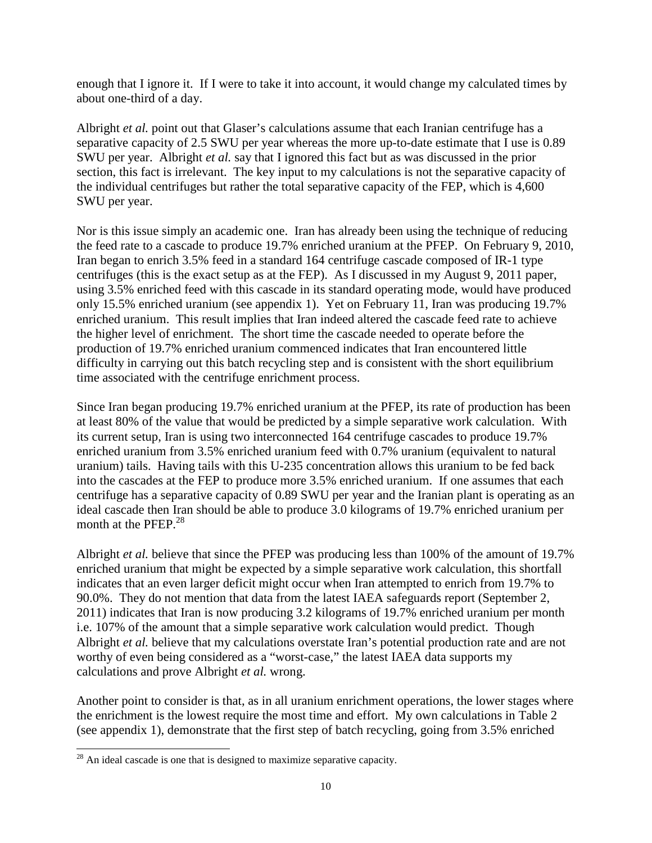enough that I ignore it. If I were to take it into account, it would change my calculated times by about one-third of a day.

Albright *et al.* point out that Glaser's calculations assume that each Iranian centrifuge has a separative capacity of 2.5 SWU per year whereas the more up-to-date estimate that I use is 0.89 SWU per year. Albright *et al.* say that I ignored this fact but as was discussed in the prior section, this fact is irrelevant. The key input to my calculations is not the separative capacity of the individual centrifuges but rather the total separative capacity of the FEP, which is 4,600 SWU per year.

Nor is this issue simply an academic one. Iran has already been using the technique of reducing the feed rate to a cascade to produce 19.7% enriched uranium at the PFEP. On February 9, 2010, Iran began to enrich 3.5% feed in a standard 164 centrifuge cascade composed of IR-1 type centrifuges (this is the exact setup as at the FEP). As I discussed in my August 9, 2011 paper, using 3.5% enriched feed with this cascade in its standard operating mode, would have produced only 15.5% enriched uranium (see appendix 1). Yet on February 11, Iran was producing 19.7% enriched uranium. This result implies that Iran indeed altered the cascade feed rate to achieve the higher level of enrichment. The short time the cascade needed to operate before the production of 19.7% enriched uranium commenced indicates that Iran encountered little difficulty in carrying out this batch recycling step and is consistent with the short equilibrium time associated with the centrifuge enrichment process.

Since Iran began producing 19.7% enriched uranium at the PFEP, its rate of production has been at least 80% of the value that would be predicted by a simple separative work calculation. With its current setup, Iran is using two interconnected 164 centrifuge cascades to produce 19.7% enriched uranium from 3.5% enriched uranium feed with 0.7% uranium (equivalent to natural uranium) tails. Having tails with this U-235 concentration allows this uranium to be fed back into the cascades at the FEP to produce more 3.5% enriched uranium. If one assumes that each centrifuge has a separative capacity of 0.89 SWU per year and the Iranian plant is operating as an ideal cascade then Iran should be able to produce 3.0 kilograms of 19.7% enriched uranium per month at the PFEP.<sup>28</sup>

Albright *et al.* believe that since the PFEP was producing less than 100% of the amount of 19.7% enriched uranium that might be expected by a simple separative work calculation, this shortfall indicates that an even larger deficit might occur when Iran attempted to enrich from 19.7% to 90.0%. They do not mention that data from the latest IAEA safeguards report (September 2, 2011) indicates that Iran is now producing 3.2 kilograms of 19.7% enriched uranium per month i.e. 107% of the amount that a simple separative work calculation would predict. Though Albright *et al.* believe that my calculations overstate Iran's potential production rate and are not worthy of even being considered as a "worst-case," the latest IAEA data supports my calculations and prove Albright *et al.* wrong.

Another point to consider is that, as in all uranium enrichment operations, the lower stages where the enrichment is the lowest require the most time and effort. My own calculations in Table 2 (see appendix 1), demonstrate that the first step of batch recycling, going from 3.5% enriched

 $^{28}$  An ideal cascade is one that is designed to maximize separative capacity.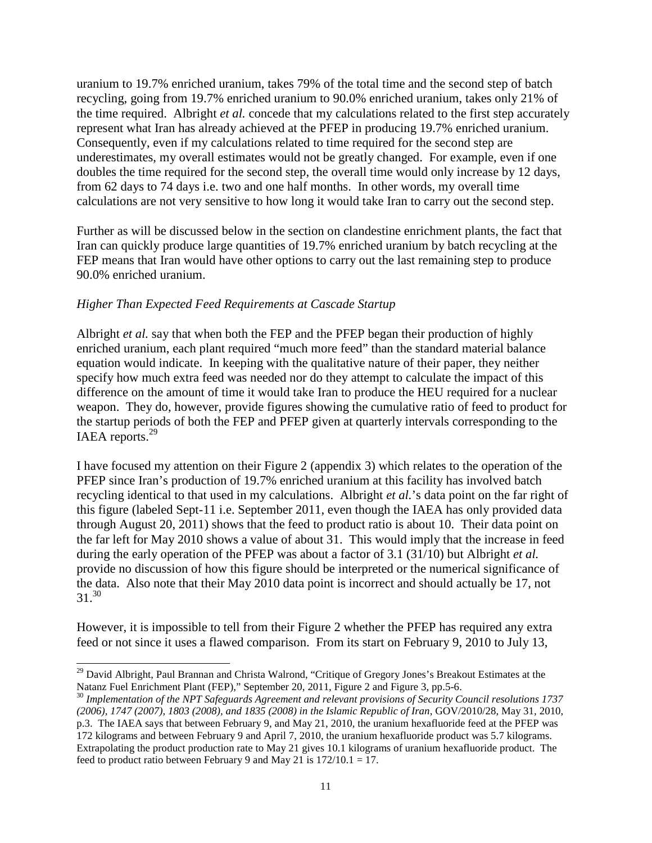uranium to 19.7% enriched uranium, takes 79% of the total time and the second step of batch recycling, going from 19.7% enriched uranium to 90.0% enriched uranium, takes only 21% of the time required. Albright *et al.* concede that my calculations related to the first step accurately represent what Iran has already achieved at the PFEP in producing 19.7% enriched uranium. Consequently, even if my calculations related to time required for the second step are underestimates, my overall estimates would not be greatly changed. For example, even if one doubles the time required for the second step, the overall time would only increase by 12 days, from 62 days to 74 days i.e. two and one half months. In other words, my overall time calculations are not very sensitive to how long it would take Iran to carry out the second step.

Further as will be discussed below in the section on clandestine enrichment plants, the fact that Iran can quickly produce large quantities of 19.7% enriched uranium by batch recycling at the FEP means that Iran would have other options to carry out the last remaining step to produce 90.0% enriched uranium.

#### *Higher Than Expected Feed Requirements at Cascade Startup*

Albright *et al.* say that when both the FEP and the PFEP began their production of highly enriched uranium, each plant required "much more feed" than the standard material balance equation would indicate. In keeping with the qualitative nature of their paper, they neither specify how much extra feed was needed nor do they attempt to calculate the impact of this difference on the amount of time it would take Iran to produce the HEU required for a nuclear weapon. They do, however, provide figures showing the cumulative ratio of feed to product for the startup periods of both the FEP and PFEP given at quarterly intervals corresponding to the IAEA reports.<sup>29</sup>

I have focused my attention on their Figure 2 (appendix 3) which relates to the operation of the PFEP since Iran's production of 19.7% enriched uranium at this facility has involved batch recycling identical to that used in my calculations. Albright *et al.*'s data point on the far right of this figure (labeled Sept-11 i.e. September 2011, even though the IAEA has only provided data through August 20, 2011) shows that the feed to product ratio is about 10. Their data point on the far left for May 2010 shows a value of about 31. This would imply that the increase in feed during the early operation of the PFEP was about a factor of 3.1 (31/10) but Albright *et al.* provide no discussion of how this figure should be interpreted or the numerical significance of the data. Also note that their May 2010 data point is incorrect and should actually be 17, not  $31.<sup>30</sup>$ 

However, it is impossible to tell from their Figure 2 whether the PFEP has required any extra feed or not since it uses a flawed comparison. From its start on February 9, 2010 to July 13,

<sup>-</sup><sup>29</sup> David Albright, Paul Brannan and Christa Walrond, "Critique of Gregory Jones's Breakout Estimates at the Natanz Fuel Enrichment Plant (FEP)," September 20, 2011, Figure 2 and Figure 3, pp.5-6.

<sup>30</sup> *Implementation of the NPT Safeguards Agreement and relevant provisions of Security Council resolutions 1737 (2006), 1747 (2007), 1803 (2008), and 1835 (2008) in the Islamic Republic of Iran*, GOV/2010/28, May 31, 2010, p.3. The IAEA says that between February 9, and May 21, 2010, the uranium hexafluoride feed at the PFEP was 172 kilograms and between February 9 and April 7, 2010, the uranium hexafluoride product was 5.7 kilograms. Extrapolating the product production rate to May 21 gives 10.1 kilograms of uranium hexafluoride product. The feed to product ratio between February 9 and May 21 is  $172/10.1 = 17$ .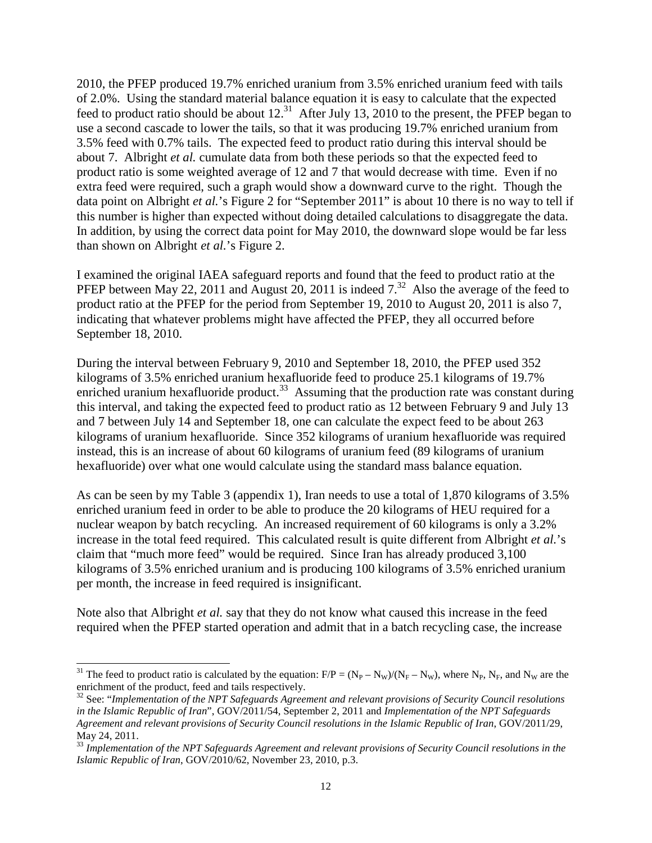2010, the PFEP produced 19.7% enriched uranium from 3.5% enriched uranium feed with tails of 2.0%. Using the standard material balance equation it is easy to calculate that the expected feed to product ratio should be about  $12<sup>31</sup>$  After July 13, 2010 to the present, the PFEP began to use a second cascade to lower the tails, so that it was producing 19.7% enriched uranium from 3.5% feed with 0.7% tails. The expected feed to product ratio during this interval should be about 7. Albright *et al.* cumulate data from both these periods so that the expected feed to product ratio is some weighted average of 12 and 7 that would decrease with time. Even if no extra feed were required, such a graph would show a downward curve to the right. Though the data point on Albright *et al.*'s Figure 2 for "September 2011" is about 10 there is no way to tell if this number is higher than expected without doing detailed calculations to disaggregate the data. In addition, by using the correct data point for May 2010, the downward slope would be far less than shown on Albright *et al.*'s Figure 2.

I examined the original IAEA safeguard reports and found that the feed to product ratio at the PFEP between May 22, 2011 and August 20, 2011 is indeed  $7<sup>32</sup>$  Also the average of the feed to product ratio at the PFEP for the period from September 19, 2010 to August 20, 2011 is also 7, indicating that whatever problems might have affected the PFEP, they all occurred before September 18, 2010.

During the interval between February 9, 2010 and September 18, 2010, the PFEP used 352 kilograms of 3.5% enriched uranium hexafluoride feed to produce 25.1 kilograms of 19.7% enriched uranium hexafluoride product. $33$  Assuming that the production rate was constant during this interval, and taking the expected feed to product ratio as 12 between February 9 and July 13 and 7 between July 14 and September 18, one can calculate the expect feed to be about 263 kilograms of uranium hexafluoride. Since 352 kilograms of uranium hexafluoride was required instead, this is an increase of about 60 kilograms of uranium feed (89 kilograms of uranium hexafluoride) over what one would calculate using the standard mass balance equation.

As can be seen by my Table 3 (appendix 1), Iran needs to use a total of 1,870 kilograms of 3.5% enriched uranium feed in order to be able to produce the 20 kilograms of HEU required for a nuclear weapon by batch recycling. An increased requirement of 60 kilograms is only a 3.2% increase in the total feed required. This calculated result is quite different from Albright *et al.*'s claim that "much more feed" would be required. Since Iran has already produced 3,100 kilograms of 3.5% enriched uranium and is producing 100 kilograms of 3.5% enriched uranium per month, the increase in feed required is insignificant.

Note also that Albright *et al.* say that they do not know what caused this increase in the feed required when the PFEP started operation and admit that in a batch recycling case, the increase

<sup>&</sup>lt;sup>31</sup> The feed to product ratio is calculated by the equation:  $F/P = (N_P - N_W)/(N_F - N_W)$ , where  $N_P$ ,  $N_F$ , and  $N_W$  are the enrichment of the product, feed and tails respectively.

<sup>32</sup> See: "*Implementation of the NPT Safeguards Agreement and relevant provisions of Security Council resolutions in the Islamic Republic of Iran*", GOV/2011/54, September 2, 2011 and *Implementation of the NPT Safeguards Agreement and relevant provisions of Security Council resolutions in the Islamic Republic of Iran*, GOV/2011/29, May 24, 2011.

<sup>33</sup> *Implementation of the NPT Safeguards Agreement and relevant provisions of Security Council resolutions in the Islamic Republic of Iran*, GOV/2010/62, November 23, 2010, p.3.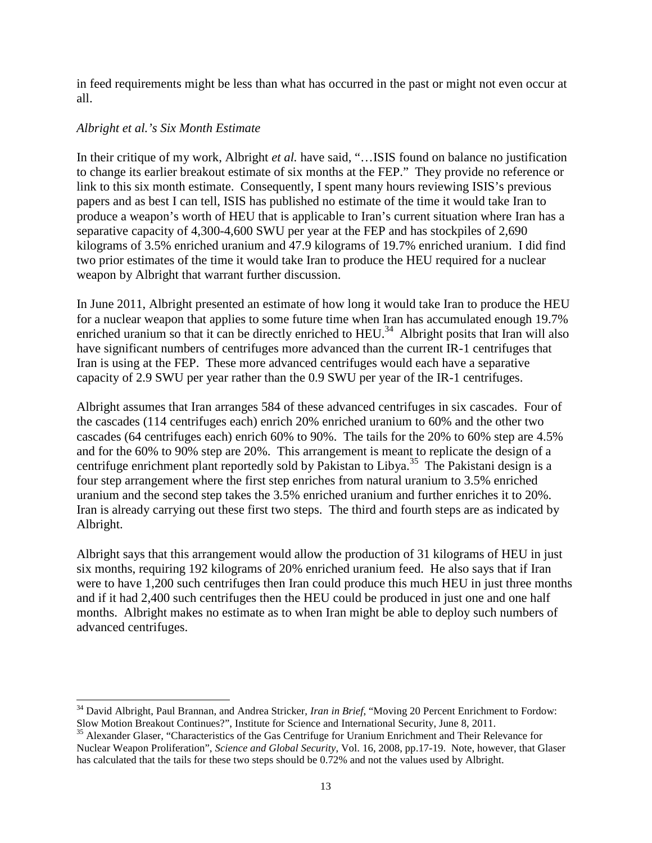in feed requirements might be less than what has occurred in the past or might not even occur at all.

#### *Albright et al.'s Six Month Estimate*

In their critique of my work, Albright *et al.* have said, "…ISIS found on balance no justification to change its earlier breakout estimate of six months at the FEP." They provide no reference or link to this six month estimate. Consequently, I spent many hours reviewing ISIS's previous papers and as best I can tell, ISIS has published no estimate of the time it would take Iran to produce a weapon's worth of HEU that is applicable to Iran's current situation where Iran has a separative capacity of 4,300-4,600 SWU per year at the FEP and has stockpiles of 2,690 kilograms of 3.5% enriched uranium and 47.9 kilograms of 19.7% enriched uranium. I did find two prior estimates of the time it would take Iran to produce the HEU required for a nuclear weapon by Albright that warrant further discussion.

In June 2011, Albright presented an estimate of how long it would take Iran to produce the HEU for a nuclear weapon that applies to some future time when Iran has accumulated enough 19.7% enriched uranium so that it can be directly enriched to  $HEU<sup>34</sup>$ . Albright posits that Iran will also have significant numbers of centrifuges more advanced than the current IR-1 centrifuges that Iran is using at the FEP. These more advanced centrifuges would each have a separative capacity of 2.9 SWU per year rather than the 0.9 SWU per year of the IR-1 centrifuges.

Albright assumes that Iran arranges 584 of these advanced centrifuges in six cascades. Four of the cascades (114 centrifuges each) enrich 20% enriched uranium to 60% and the other two cascades (64 centrifuges each) enrich 60% to 90%. The tails for the 20% to 60% step are 4.5% and for the 60% to 90% step are 20%. This arrangement is meant to replicate the design of a centrifuge enrichment plant reportedly sold by Pakistan to Libya.<sup>35</sup> The Pakistani design is a four step arrangement where the first step enriches from natural uranium to 3.5% enriched uranium and the second step takes the 3.5% enriched uranium and further enriches it to 20%. Iran is already carrying out these first two steps. The third and fourth steps are as indicated by Albright.

Albright says that this arrangement would allow the production of 31 kilograms of HEU in just six months, requiring 192 kilograms of 20% enriched uranium feed. He also says that if Iran were to have 1,200 such centrifuges then Iran could produce this much HEU in just three months and if it had 2,400 such centrifuges then the HEU could be produced in just one and one half months. Albright makes no estimate as to when Iran might be able to deploy such numbers of advanced centrifuges.

<sup>1</sup> <sup>34</sup> David Albright, Paul Brannan, and Andrea Stricker, *Iran in Brief*, "Moving 20 Percent Enrichment to Fordow: Slow Motion Breakout Continues?", Institute for Science and International Security, June 8, 2011.

<sup>&</sup>lt;sup>35</sup> Alexander Glaser, "Characteristics of the Gas Centrifuge for Uranium Enrichment and Their Relevance for Nuclear Weapon Proliferation", *Science and Global Security*, Vol. 16, 2008, pp.17-19. Note, however, that Glaser has calculated that the tails for these two steps should be 0.72% and not the values used by Albright.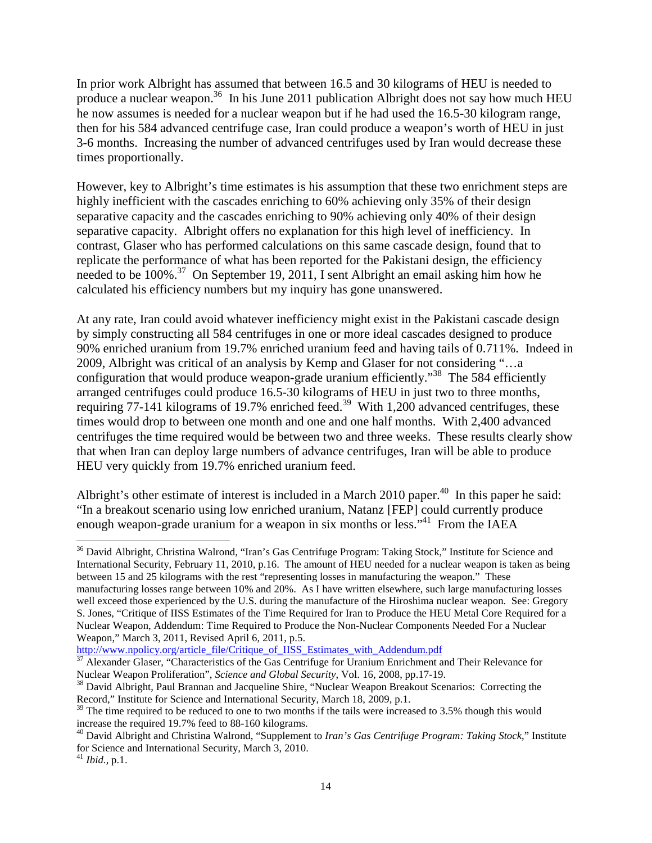In prior work Albright has assumed that between 16.5 and 30 kilograms of HEU is needed to produce a nuclear weapon.<sup>36</sup> In his June 2011 publication Albright does not say how much HEU he now assumes is needed for a nuclear weapon but if he had used the 16.5-30 kilogram range, then for his 584 advanced centrifuge case, Iran could produce a weapon's worth of HEU in just 3-6 months. Increasing the number of advanced centrifuges used by Iran would decrease these times proportionally.

However, key to Albright's time estimates is his assumption that these two enrichment steps are highly inefficient with the cascades enriching to 60% achieving only 35% of their design separative capacity and the cascades enriching to 90% achieving only 40% of their design separative capacity. Albright offers no explanation for this high level of inefficiency. In contrast, Glaser who has performed calculations on this same cascade design, found that to replicate the performance of what has been reported for the Pakistani design, the efficiency needed to be 100%.<sup>37</sup> On September 19, 2011, I sent Albright an email asking him how he calculated his efficiency numbers but my inquiry has gone unanswered.

At any rate, Iran could avoid whatever inefficiency might exist in the Pakistani cascade design by simply constructing all 584 centrifuges in one or more ideal cascades designed to produce 90% enriched uranium from 19.7% enriched uranium feed and having tails of 0.711%. Indeed in 2009, Albright was critical of an analysis by Kemp and Glaser for not considering "…a configuration that would produce weapon-grade uranium efficiently.<sup>38</sup> The 584 efficiently arranged centrifuges could produce 16.5-30 kilograms of HEU in just two to three months, requiring 77-141 kilograms of 19.7% enriched feed.<sup>39</sup> With 1,200 advanced centrifuges, these times would drop to between one month and one and one half months. With 2,400 advanced centrifuges the time required would be between two and three weeks. These results clearly show that when Iran can deploy large numbers of advance centrifuges, Iran will be able to produce HEU very quickly from 19.7% enriched uranium feed.

Albright's other estimate of interest is included in a March 2010 paper. $40$  In this paper he said: "In a breakout scenario using low enriched uranium, Natanz [FEP] could currently produce enough weapon-grade uranium for a weapon in six months or less."<sup>41</sup> From the IAEA

<sup>36</sup> David Albright, Christina Walrond, "Iran's Gas Centrifuge Program: Taking Stock," Institute for Science and International Security, February 11, 2010, p.16. The amount of HEU needed for a nuclear weapon is taken as being between 15 and 25 kilograms with the rest "representing losses in manufacturing the weapon." These manufacturing losses range between 10% and 20%. As I have written elsewhere, such large manufacturing losses well exceed those experienced by the U.S. during the manufacture of the Hiroshima nuclear weapon. See: Gregory S. Jones, "Critique of IISS Estimates of the Time Required for Iran to Produce the HEU Metal Core Required for a Nuclear Weapon, Addendum: Time Required to Produce the Non-Nuclear Components Needed For a Nuclear Weapon," March 3, 2011, Revised April 6, 2011, p.5.

http://www.npolicy.org/article\_file/Critique\_of\_IISS\_Estimates\_with\_Addendum.pdf

<sup>&</sup>lt;sup>37</sup> Alexander Glaser, "Characteristics of the Gas Centrifuge for Uranium Enrichment and Their Relevance for Nuclear Weapon Proliferation", *Science and Global Security*, Vol. 16, 2008, pp.17-19.

<sup>&</sup>lt;sup>38</sup> David Albright, Paul Brannan and Jacqueline Shire, "Nuclear Weapon Breakout Scenarios: Correcting the Record," Institute for Science and International Security, March 18, 2009, p.1.

 $39$  The time required to be reduced to one to two months if the tails were increased to 3.5% though this would increase the required 19.7% feed to 88-160 kilograms.

<sup>40</sup> David Albright and Christina Walrond, "Supplement to *Iran's Gas Centrifuge Program: Taking Stock*," Institute for Science and International Security, March 3, 2010.

<sup>41</sup> *Ibid.*, p.1.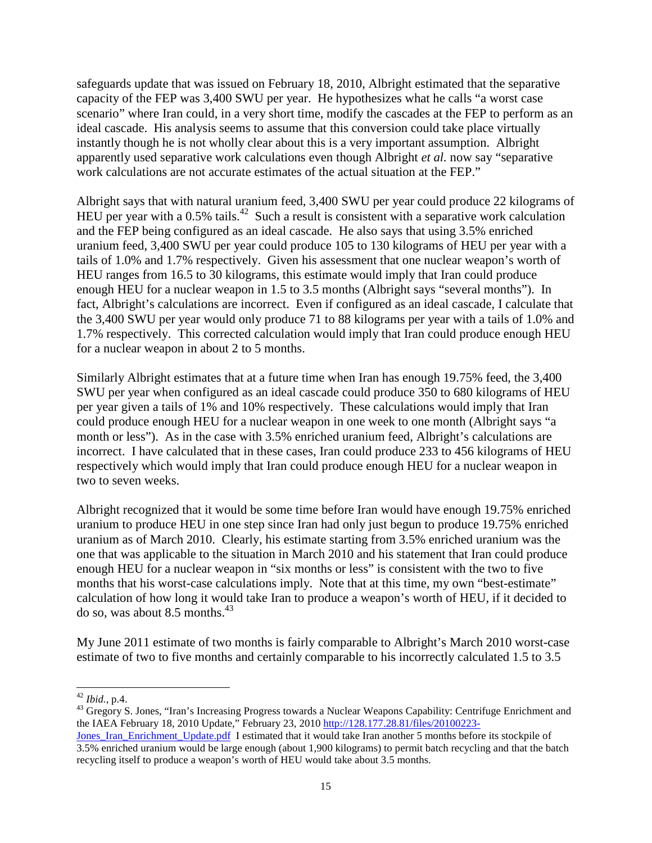safeguards update that was issued on February 18, 2010, Albright estimated that the separative capacity of the FEP was 3,400 SWU per year. He hypothesizes what he calls "a worst case scenario" where Iran could, in a very short time, modify the cascades at the FEP to perform as an ideal cascade. His analysis seems to assume that this conversion could take place virtually instantly though he is not wholly clear about this is a very important assumption. Albright apparently used separative work calculations even though Albright *et al.* now say "separative work calculations are not accurate estimates of the actual situation at the FEP."

Albright says that with natural uranium feed, 3,400 SWU per year could produce 22 kilograms of HEU per year with a  $0.5\%$  tails.<sup>42</sup> Such a result is consistent with a separative work calculation and the FEP being configured as an ideal cascade. He also says that using 3.5% enriched uranium feed, 3,400 SWU per year could produce 105 to 130 kilograms of HEU per year with a tails of 1.0% and 1.7% respectively. Given his assessment that one nuclear weapon's worth of HEU ranges from 16.5 to 30 kilograms, this estimate would imply that Iran could produce enough HEU for a nuclear weapon in 1.5 to 3.5 months (Albright says "several months"). In fact, Albright's calculations are incorrect. Even if configured as an ideal cascade, I calculate that the 3,400 SWU per year would only produce 71 to 88 kilograms per year with a tails of 1.0% and 1.7% respectively. This corrected calculation would imply that Iran could produce enough HEU for a nuclear weapon in about 2 to 5 months.

Similarly Albright estimates that at a future time when Iran has enough 19.75% feed, the 3,400 SWU per year when configured as an ideal cascade could produce 350 to 680 kilograms of HEU per year given a tails of 1% and 10% respectively. These calculations would imply that Iran could produce enough HEU for a nuclear weapon in one week to one month (Albright says "a month or less"). As in the case with 3.5% enriched uranium feed, Albright's calculations are incorrect. I have calculated that in these cases, Iran could produce 233 to 456 kilograms of HEU respectively which would imply that Iran could produce enough HEU for a nuclear weapon in two to seven weeks.

Albright recognized that it would be some time before Iran would have enough 19.75% enriched uranium to produce HEU in one step since Iran had only just begun to produce 19.75% enriched uranium as of March 2010. Clearly, his estimate starting from 3.5% enriched uranium was the one that was applicable to the situation in March 2010 and his statement that Iran could produce enough HEU for a nuclear weapon in "six months or less" is consistent with the two to five months that his worst-case calculations imply. Note that at this time, my own "best-estimate" calculation of how long it would take Iran to produce a weapon's worth of HEU, if it decided to do so, was about 8.5 months. $43$ 

My June 2011 estimate of two months is fairly comparable to Albright's March 2010 worst-case estimate of two to five months and certainly comparable to his incorrectly calculated 1.5 to 3.5

<sup>-</sup><sup>42</sup> *Ibid.*, p.4.

<sup>&</sup>lt;sup>43</sup> Gregory S. Jones, "Iran's Increasing Progress towards a Nuclear Weapons Capability: Centrifuge Enrichment and the IAEA February 18, 2010 Update," February 23, 2010 http://128.177.28.81/files/20100223-

Jones Iran Enrichment Update.pdf I estimated that it would take Iran another 5 months before its stockpile of 3.5% enriched uranium would be large enough (about 1,900 kilograms) to permit batch recycling and that the batch recycling itself to produce a weapon's worth of HEU would take about 3.5 months.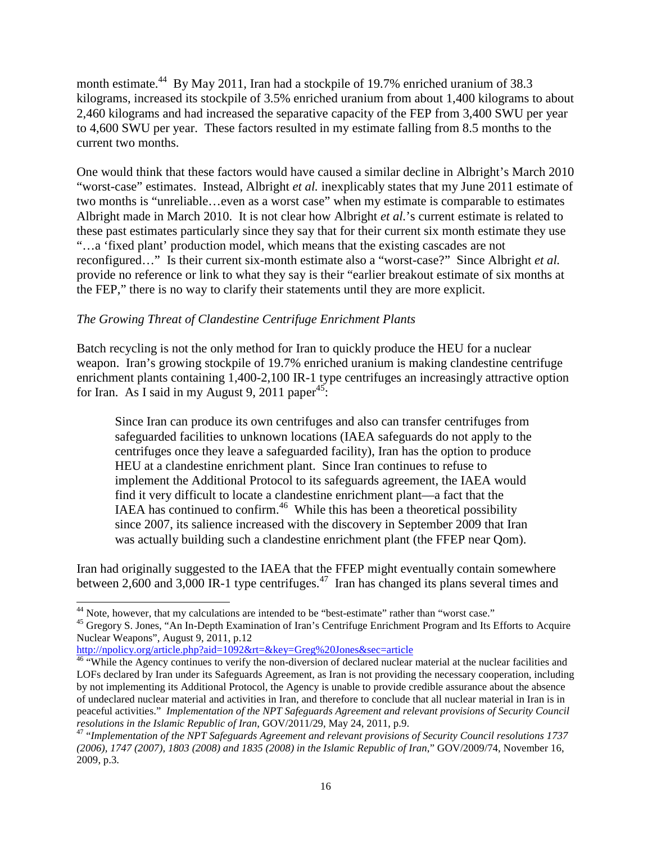month estimate.<sup>44</sup> By May 2011, Iran had a stockpile of 19.7% enriched uranium of 38.3 kilograms, increased its stockpile of 3.5% enriched uranium from about 1,400 kilograms to about 2,460 kilograms and had increased the separative capacity of the FEP from 3,400 SWU per year to 4,600 SWU per year. These factors resulted in my estimate falling from 8.5 months to the current two months.

One would think that these factors would have caused a similar decline in Albright's March 2010 "worst-case" estimates. Instead, Albright *et al.* inexplicably states that my June 2011 estimate of two months is "unreliable…even as a worst case" when my estimate is comparable to estimates Albright made in March 2010. It is not clear how Albright *et al.*'s current estimate is related to these past estimates particularly since they say that for their current six month estimate they use "…a 'fixed plant' production model, which means that the existing cascades are not reconfigured…" Is their current six-month estimate also a "worst-case?" Since Albright *et al.* provide no reference or link to what they say is their "earlier breakout estimate of six months at the FEP," there is no way to clarify their statements until they are more explicit.

## *The Growing Threat of Clandestine Centrifuge Enrichment Plants*

Batch recycling is not the only method for Iran to quickly produce the HEU for a nuclear weapon. Iran's growing stockpile of 19.7% enriched uranium is making clandestine centrifuge enrichment plants containing 1,400-2,100 IR-1 type centrifuges an increasingly attractive option for Iran. As I said in my August 9, 2011 paper<sup>45</sup>:

Since Iran can produce its own centrifuges and also can transfer centrifuges from safeguarded facilities to unknown locations (IAEA safeguards do not apply to the centrifuges once they leave a safeguarded facility), Iran has the option to produce HEU at a clandestine enrichment plant. Since Iran continues to refuse to implement the Additional Protocol to its safeguards agreement, the IAEA would find it very difficult to locate a clandestine enrichment plant—a fact that the IAEA has continued to confirm.<sup>46</sup> While this has been a theoretical possibility since 2007, its salience increased with the discovery in September 2009 that Iran was actually building such a clandestine enrichment plant (the FFEP near Qom).

Iran had originally suggested to the IAEA that the FFEP might eventually contain somewhere between 2,600 and 3,000 IR-1 type centrifuges.<sup>47</sup> Iran has changed its plans several times and

http://npolicy.org/article.php?aid=1092&rt=&key=Greg%20Jones&sec=article

<sup>-</sup><sup>44</sup> Note, however, that my calculations are intended to be "best-estimate" rather than "worst case."

<sup>&</sup>lt;sup>45</sup> Gregory S. Jones, "An In-Depth Examination of Iran's Centrifuge Enrichment Program and Its Efforts to Acquire Nuclear Weapons", August 9, 2011, p.12

<sup>&</sup>lt;sup>46</sup> "While the Agency continues to verify the non-diversion of declared nuclear material at the nuclear facilities and LOFs declared by Iran under its Safeguards Agreement, as Iran is not providing the necessary cooperation, including by not implementing its Additional Protocol, the Agency is unable to provide credible assurance about the absence of undeclared nuclear material and activities in Iran, and therefore to conclude that all nuclear material in Iran is in peaceful activities." *Implementation of the NPT Safeguards Agreement and relevant provisions of Security Council resolutions in the Islamic Republic of Iran*, GOV/2011/29, May 24, 2011, p.9.

<sup>47</sup> "*Implementation of the NPT Safeguards Agreement and relevant provisions of Security Council resolutions 1737 (2006), 1747 (2007), 1803 (2008) and 1835 (2008) in the Islamic Republic of Iran*," GOV/2009/74, November 16, 2009, p.3.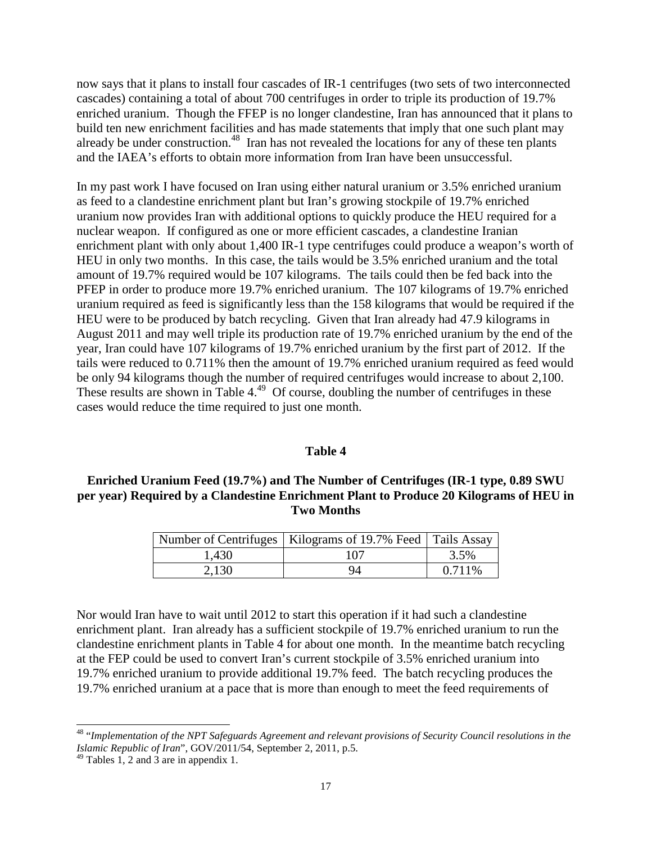now says that it plans to install four cascades of IR-1 centrifuges (two sets of two interconnected cascades) containing a total of about 700 centrifuges in order to triple its production of 19.7% enriched uranium. Though the FFEP is no longer clandestine, Iran has announced that it plans to build ten new enrichment facilities and has made statements that imply that one such plant may already be under construction.<sup>48</sup> Iran has not revealed the locations for any of these ten plants and the IAEA's efforts to obtain more information from Iran have been unsuccessful.

In my past work I have focused on Iran using either natural uranium or 3.5% enriched uranium as feed to a clandestine enrichment plant but Iran's growing stockpile of 19.7% enriched uranium now provides Iran with additional options to quickly produce the HEU required for a nuclear weapon. If configured as one or more efficient cascades, a clandestine Iranian enrichment plant with only about 1,400 IR-1 type centrifuges could produce a weapon's worth of HEU in only two months. In this case, the tails would be 3.5% enriched uranium and the total amount of 19.7% required would be 107 kilograms. The tails could then be fed back into the PFEP in order to produce more 19.7% enriched uranium. The 107 kilograms of 19.7% enriched uranium required as feed is significantly less than the 158 kilograms that would be required if the HEU were to be produced by batch recycling. Given that Iran already had 47.9 kilograms in August 2011 and may well triple its production rate of 19.7% enriched uranium by the end of the year, Iran could have 107 kilograms of 19.7% enriched uranium by the first part of 2012. If the tails were reduced to 0.711% then the amount of 19.7% enriched uranium required as feed would be only 94 kilograms though the number of required centrifuges would increase to about 2,100. These results are shown in Table  $4.49$  Of course, doubling the number of centrifuges in these cases would reduce the time required to just one month.

#### **Table 4**

#### **Enriched Uranium Feed (19.7%) and The Number of Centrifuges (IR-1 type, 0.89 SWU per year) Required by a Clandestine Enrichment Plant to Produce 20 Kilograms of HEU in Two Months**

|       | Number of Centrifuges   Kilograms of 19.7% Feed   Tails Assay |         |
|-------|---------------------------------------------------------------|---------|
| 1,430 | 107                                                           | 3.5%    |
| 2,130 | 94                                                            | 0.711\% |

Nor would Iran have to wait until 2012 to start this operation if it had such a clandestine enrichment plant. Iran already has a sufficient stockpile of 19.7% enriched uranium to run the clandestine enrichment plants in Table 4 for about one month. In the meantime batch recycling at the FEP could be used to convert Iran's current stockpile of 3.5% enriched uranium into 19.7% enriched uranium to provide additional 19.7% feed. The batch recycling produces the 19.7% enriched uranium at a pace that is more than enough to meet the feed requirements of

<sup>48</sup> "*Implementation of the NPT Safeguards Agreement and relevant provisions of Security Council resolutions in the Islamic Republic of Iran*", GOV/2011/54, September 2, 2011, p.5.

 $49$  Tables 1, 2 and 3 are in appendix 1.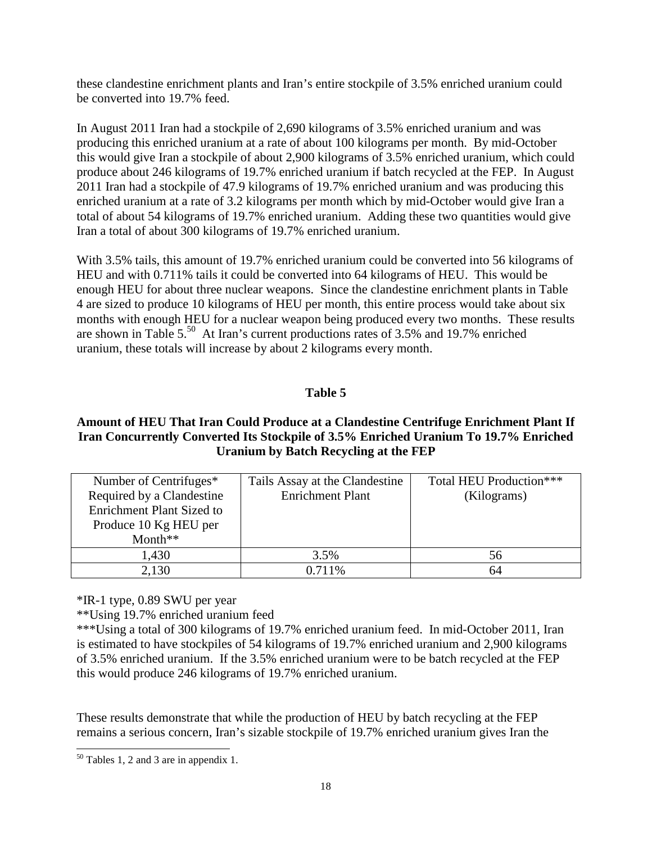these clandestine enrichment plants and Iran's entire stockpile of 3.5% enriched uranium could be converted into 19.7% feed.

In August 2011 Iran had a stockpile of 2,690 kilograms of 3.5% enriched uranium and was producing this enriched uranium at a rate of about 100 kilograms per month. By mid-October this would give Iran a stockpile of about 2,900 kilograms of 3.5% enriched uranium, which could produce about 246 kilograms of 19.7% enriched uranium if batch recycled at the FEP. In August 2011 Iran had a stockpile of 47.9 kilograms of 19.7% enriched uranium and was producing this enriched uranium at a rate of 3.2 kilograms per month which by mid-October would give Iran a total of about 54 kilograms of 19.7% enriched uranium. Adding these two quantities would give Iran a total of about 300 kilograms of 19.7% enriched uranium.

With 3.5% tails, this amount of 19.7% enriched uranium could be converted into 56 kilograms of HEU and with 0.711% tails it could be converted into 64 kilograms of HEU. This would be enough HEU for about three nuclear weapons. Since the clandestine enrichment plants in Table 4 are sized to produce 10 kilograms of HEU per month, this entire process would take about six months with enough HEU for a nuclear weapon being produced every two months. These results are shown in Table 5.<sup>50</sup> At Iran's current productions rates of 3.5% and 19.7% enriched uranium, these totals will increase by about 2 kilograms every month.

## **Table 5**

#### **Amount of HEU That Iran Could Produce at a Clandestine Centrifuge Enrichment Plant If Iran Concurrently Converted Its Stockpile of 3.5% Enriched Uranium To 19.7% Enriched Uranium by Batch Recycling at the FEP**

| Number of Centrifuges*<br>Required by a Clandestine<br><b>Enrichment Plant Sized to</b><br>Produce 10 Kg HEU per | Tails Assay at the Clandestine<br><b>Enrichment Plant</b> | Total HEU Production***<br>(Kilograms) |
|------------------------------------------------------------------------------------------------------------------|-----------------------------------------------------------|----------------------------------------|
| Month $**$                                                                                                       |                                                           |                                        |
| 1,430                                                                                                            | 3.5%                                                      | 56                                     |
| 2,130                                                                                                            | 0.711%                                                    | 64                                     |

\*IR-1 type, 0.89 SWU per year

\*\*Using 19.7% enriched uranium feed

\*\*\*Using a total of 300 kilograms of 19.7% enriched uranium feed. In mid-October 2011, Iran is estimated to have stockpiles of 54 kilograms of 19.7% enriched uranium and 2,900 kilograms of 3.5% enriched uranium. If the 3.5% enriched uranium were to be batch recycled at the FEP this would produce 246 kilograms of 19.7% enriched uranium.

These results demonstrate that while the production of HEU by batch recycling at the FEP remains a serious concern, Iran's sizable stockpile of 19.7% enriched uranium gives Iran the

<sup>-</sup><sup>50</sup> Tables 1, 2 and 3 are in appendix 1.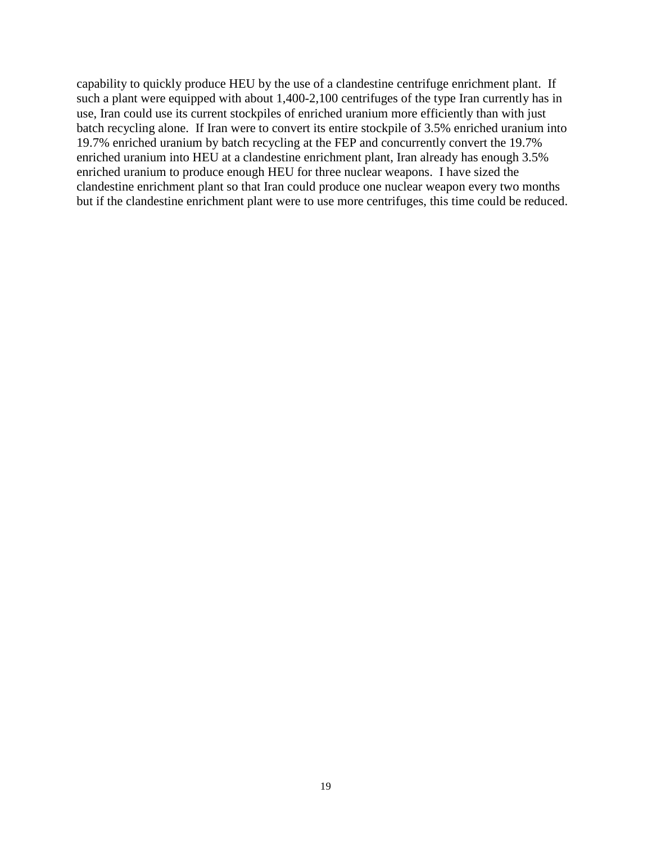capability to quickly produce HEU by the use of a clandestine centrifuge enrichment plant. If such a plant were equipped with about 1,400-2,100 centrifuges of the type Iran currently has in use, Iran could use its current stockpiles of enriched uranium more efficiently than with just batch recycling alone. If Iran were to convert its entire stockpile of 3.5% enriched uranium into 19.7% enriched uranium by batch recycling at the FEP and concurrently convert the 19.7% enriched uranium into HEU at a clandestine enrichment plant, Iran already has enough 3.5% enriched uranium to produce enough HEU for three nuclear weapons. I have sized the clandestine enrichment plant so that Iran could produce one nuclear weapon every two months but if the clandestine enrichment plant were to use more centrifuges, this time could be reduced.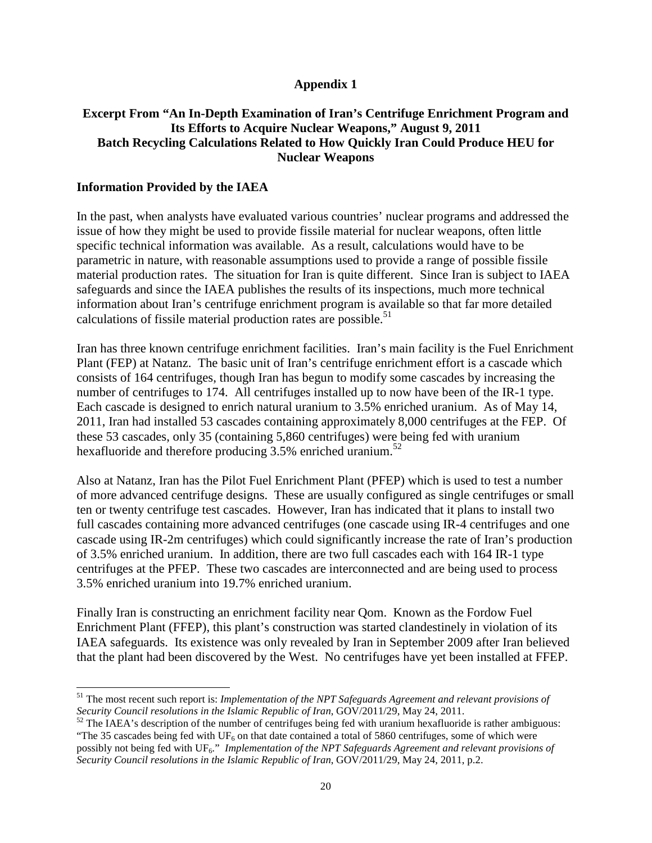#### **Appendix 1**

#### **Excerpt From "An In-Depth Examination of Iran's Centrifuge Enrichment Program and Its Efforts to Acquire Nuclear Weapons," August 9, 2011 Batch Recycling Calculations Related to How Quickly Iran Could Produce HEU for Nuclear Weapons**

#### **Information Provided by the IAEA**

-

In the past, when analysts have evaluated various countries' nuclear programs and addressed the issue of how they might be used to provide fissile material for nuclear weapons, often little specific technical information was available. As a result, calculations would have to be parametric in nature, with reasonable assumptions used to provide a range of possible fissile material production rates. The situation for Iran is quite different. Since Iran is subject to IAEA safeguards and since the IAEA publishes the results of its inspections, much more technical information about Iran's centrifuge enrichment program is available so that far more detailed calculations of fissile material production rates are possible.<sup>51</sup>

Iran has three known centrifuge enrichment facilities. Iran's main facility is the Fuel Enrichment Plant (FEP) at Natanz. The basic unit of Iran's centrifuge enrichment effort is a cascade which consists of 164 centrifuges, though Iran has begun to modify some cascades by increasing the number of centrifuges to 174. All centrifuges installed up to now have been of the IR-1 type. Each cascade is designed to enrich natural uranium to 3.5% enriched uranium. As of May 14, 2011, Iran had installed 53 cascades containing approximately 8,000 centrifuges at the FEP. Of these 53 cascades, only 35 (containing 5,860 centrifuges) were being fed with uranium hexafluoride and therefore producing 3.5% enriched uranium.<sup>52</sup>

Also at Natanz, Iran has the Pilot Fuel Enrichment Plant (PFEP) which is used to test a number of more advanced centrifuge designs. These are usually configured as single centrifuges or small ten or twenty centrifuge test cascades. However, Iran has indicated that it plans to install two full cascades containing more advanced centrifuges (one cascade using IR-4 centrifuges and one cascade using IR-2m centrifuges) which could significantly increase the rate of Iran's production of 3.5% enriched uranium. In addition, there are two full cascades each with 164 IR-1 type centrifuges at the PFEP. These two cascades are interconnected and are being used to process 3.5% enriched uranium into 19.7% enriched uranium.

Finally Iran is constructing an enrichment facility near Qom. Known as the Fordow Fuel Enrichment Plant (FFEP), this plant's construction was started clandestinely in violation of its IAEA safeguards. Its existence was only revealed by Iran in September 2009 after Iran believed that the plant had been discovered by the West. No centrifuges have yet been installed at FFEP.

<sup>51</sup> The most recent such report is: *Implementation of the NPT Safeguards Agreement and relevant provisions of Security Council resolutions in the Islamic Republic of Iran*, GOV/2011/29, May 24, 2011.

<sup>&</sup>lt;sup>52</sup> The IAEA's description of the number of centrifuges being fed with uranium hexafluoride is rather ambiguous: "The 35 cascades being fed with  $UF_6$  on that date contained a total of 5860 centrifuges, some of which were possibly not being fed with UF<sub>6</sub>." *Implementation of the NPT Safeguards Agreement and relevant provisions of Security Council resolutions in the Islamic Republic of Iran*, GOV/2011/29, May 24, 2011, p.2.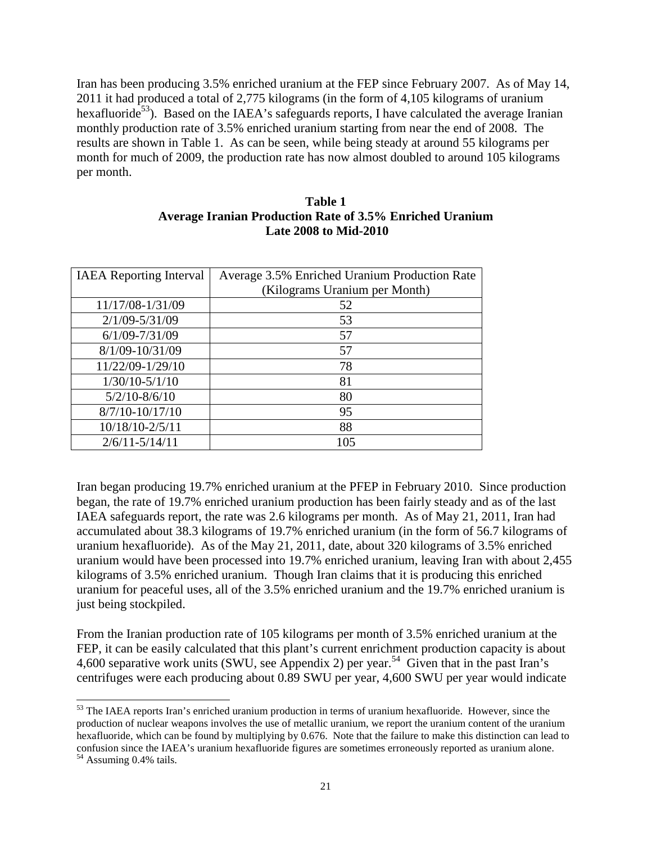Iran has been producing 3.5% enriched uranium at the FEP since February 2007. As of May 14, 2011 it had produced a total of 2,775 kilograms (in the form of 4,105 kilograms of uranium hexafluoride<sup>53</sup>). Based on the IAEA's safeguards reports, I have calculated the average Iranian monthly production rate of 3.5% enriched uranium starting from near the end of 2008. The results are shown in Table 1. As can be seen, while being steady at around 55 kilograms per month for much of 2009, the production rate has now almost doubled to around 105 kilograms per month.

#### **Table 1 Average Iranian Production Rate of 3.5% Enriched Uranium Late 2008 to Mid-2010**

| <b>IAEA</b> Reporting Interval | Average 3.5% Enriched Uranium Production Rate |  |
|--------------------------------|-----------------------------------------------|--|
|                                | (Kilograms Uranium per Month)                 |  |
| 11/17/08-1/31/09               | 52                                            |  |
| $2/1/09 - 5/31/09$             | 53                                            |  |
| $6/1/09 - 7/31/09$             | 57                                            |  |
| 8/1/09-10/31/09                | 57                                            |  |
| 11/22/09-1/29/10               | 78                                            |  |
| $1/30/10-5/1/10$               | 81                                            |  |
| $5/2/10 - 8/6/10$              | 80                                            |  |
| $8/7/10 - 10/17/10$            | 95                                            |  |
| 10/18/10-2/5/11                | 88                                            |  |
| $2/6/11 - 5/14/11$             | 105                                           |  |

Iran began producing 19.7% enriched uranium at the PFEP in February 2010. Since production began, the rate of 19.7% enriched uranium production has been fairly steady and as of the last IAEA safeguards report, the rate was 2.6 kilograms per month. As of May 21, 2011, Iran had accumulated about 38.3 kilograms of 19.7% enriched uranium (in the form of 56.7 kilograms of uranium hexafluoride). As of the May 21, 2011, date, about 320 kilograms of 3.5% enriched uranium would have been processed into 19.7% enriched uranium, leaving Iran with about 2,455 kilograms of 3.5% enriched uranium. Though Iran claims that it is producing this enriched uranium for peaceful uses, all of the 3.5% enriched uranium and the 19.7% enriched uranium is just being stockpiled.

From the Iranian production rate of 105 kilograms per month of 3.5% enriched uranium at the FEP, it can be easily calculated that this plant's current enrichment production capacity is about 4,600 separative work units (SWU, see Appendix 2) per year.<sup>54</sup> Given that in the past Iran's centrifuges were each producing about 0.89 SWU per year, 4,600 SWU per year would indicate

1

<sup>&</sup>lt;sup>53</sup> The IAEA reports Iran's enriched uranium production in terms of uranium hexafluoride. However, since the production of nuclear weapons involves the use of metallic uranium, we report the uranium content of the uranium hexafluoride, which can be found by multiplying by 0.676. Note that the failure to make this distinction can lead to confusion since the IAEA's uranium hexafluoride figures are sometimes erroneously reported as uranium alone.

<sup>&</sup>lt;sup>54</sup> Assuming 0.4% tails.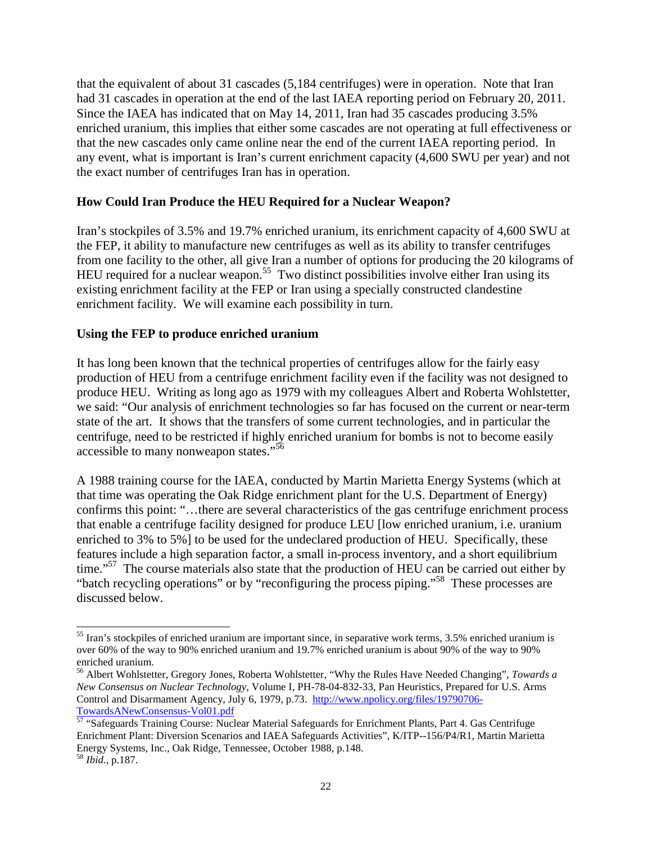that the equivalent of about 31 cascades (5,184 centrifuges) were in operation. Note that Iran had 31 cascades in operation at the end of the last IAEA reporting period on February 20, 2011. Since the IAEA has indicated that on May 14, 2011, Iran had 35 cascades producing 3.5% enriched uranium, this implies that either some cascades are not operating at full effectiveness or that the new cascades only came online near the end of the current IAEA reporting period. In any event, what is important is Iran's current enrichment capacity (4,600 SWU per year) and not the exact number of centrifuges Iran has in operation.

#### **How Could Iran Produce the HEU Required for a Nuclear Weapon?**

Iran's stockpiles of 3.5% and 19.7% enriched uranium, its enrichment capacity of 4,600 SWU at the FEP, it ability to manufacture new centrifuges as well as its ability to transfer centrifuges from one facility to the other, all give Iran a number of options for producing the 20 kilograms of HEU required for a nuclear weapon.<sup>55</sup> Two distinct possibilities involve either Iran using its existing enrichment facility at the FEP or Iran using a specially constructed clandestine enrichment facility. We will examine each possibility in turn.

#### **Using the FEP to produce enriched uranium**

It has long been known that the technical properties of centrifuges allow for the fairly easy production of HEU from a centrifuge enrichment facility even if the facility was not designed to produce HEU. Writing as long ago as 1979 with my colleagues Albert and Roberta Wohlstetter, we said: "Our analysis of enrichment technologies so far has focused on the current or near-term state of the art. It shows that the transfers of some current technologies, and in particular the centrifuge, need to be restricted if highly enriched uranium for bombs is not to become easily accessible to many nonweapon states."<sup>56</sup>

A 1988 training course for the IAEA, conducted by Martin Marietta Energy Systems (which at that time was operating the Oak Ridge enrichment plant for the U.S. Department of Energy) confirms this point: "…there are several characteristics of the gas centrifuge enrichment process that enable a centrifuge facility designed for produce LEU [low enriched uranium, i.e. uranium enriched to 3% to 5%] to be used for the undeclared production of HEU. Specifically, these features include a high separation factor, a small in-process inventory, and a short equilibrium time."<sup>57</sup> The course materials also state that the production of HEU can be carried out either by "batch recycling operations" or by "reconfiguring the process piping."<sup>58</sup> These processes are discussed below.

1

 $55$  Iran's stockpiles of enriched uranium are important since, in separative work terms, 3.5% enriched uranium is over 60% of the way to 90% enriched uranium and 19.7% enriched uranium is about 90% of the way to 90% enriched uranium.

<sup>56</sup> Albert Wohlstetter, Gregory Jones, Roberta Wohlstetter, "Why the Rules Have Needed Changing", *Towards a New Consensus on Nuclear Technology*, Volume I, PH-78-04-832-33, Pan Heuristics, Prepared for U.S. Arms Control and Disarmament Agency, July 6, 1979, p.73. http://www.npolicy.org/files/19790706- TowardsANewConsensus-Vol01.pdf

<sup>57</sup> "Safeguards Training Course: Nuclear Material Safeguards for Enrichment Plants, Part 4. Gas Centrifuge Enrichment Plant: Diversion Scenarios and IAEA Safeguards Activities", K/ITP--156/P4/R1, Martin Marietta Energy Systems, Inc., Oak Ridge, Tennessee, October 1988, p.148.

<sup>58</sup> *Ibid.*, p.187.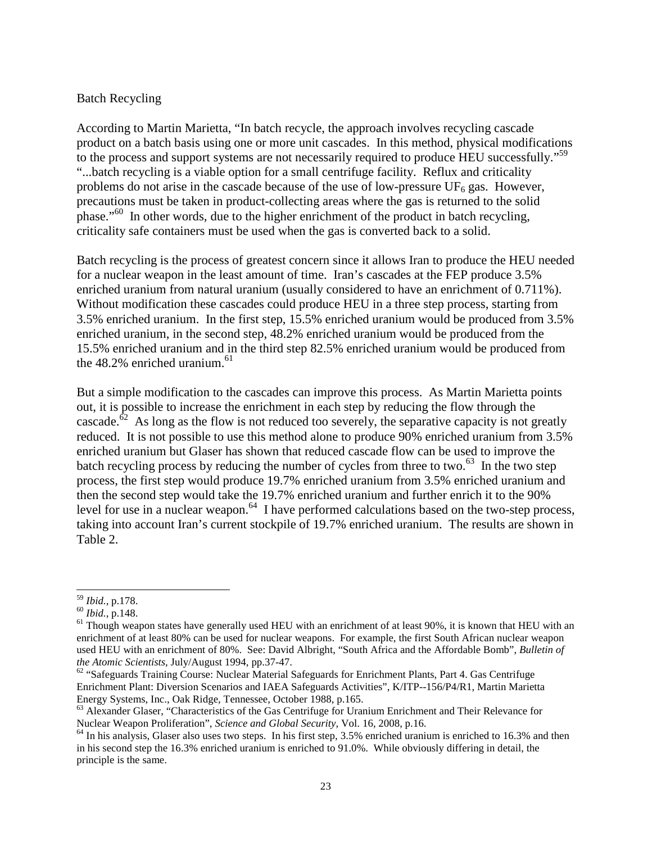#### Batch Recycling

According to Martin Marietta, "In batch recycle, the approach involves recycling cascade product on a batch basis using one or more unit cascades. In this method, physical modifications to the process and support systems are not necessarily required to produce HEU successfully."<sup>59</sup> "...batch recycling is a viable option for a small centrifuge facility. Reflux and criticality problems do not arise in the cascade because of the use of low-pressure  $UF_6$  gas. However, precautions must be taken in product-collecting areas where the gas is returned to the solid phase."<sup>60</sup> In other words, due to the higher enrichment of the product in batch recycling, criticality safe containers must be used when the gas is converted back to a solid.

Batch recycling is the process of greatest concern since it allows Iran to produce the HEU needed for a nuclear weapon in the least amount of time. Iran's cascades at the FEP produce 3.5% enriched uranium from natural uranium (usually considered to have an enrichment of 0.711%). Without modification these cascades could produce HEU in a three step process, starting from 3.5% enriched uranium. In the first step, 15.5% enriched uranium would be produced from 3.5% enriched uranium, in the second step, 48.2% enriched uranium would be produced from the 15.5% enriched uranium and in the third step 82.5% enriched uranium would be produced from the  $48.2\%$  enriched uranium.<sup>61</sup>

But a simple modification to the cascades can improve this process. As Martin Marietta points out, it is possible to increase the enrichment in each step by reducing the flow through the cascade.<sup> $\delta^2$ </sup> As long as the flow is not reduced too severely, the separative capacity is not greatly reduced. It is not possible to use this method alone to produce 90% enriched uranium from 3.5% enriched uranium but Glaser has shown that reduced cascade flow can be used to improve the batch recycling process by reducing the number of cycles from three to two.<sup>63</sup> In the two step process, the first step would produce 19.7% enriched uranium from 3.5% enriched uranium and then the second step would take the 19.7% enriched uranium and further enrich it to the 90% level for use in a nuclear weapon.<sup>64</sup> I have performed calculations based on the two-step process, taking into account Iran's current stockpile of 19.7% enriched uranium. The results are shown in Table 2.

<sup>-</sup><sup>59</sup> *Ibid.*, p.178.

<sup>60</sup> *Ibid.*, p.148.

 $61$  Though weapon states have generally used HEU with an enrichment of at least 90%, it is known that HEU with an enrichment of at least 80% can be used for nuclear weapons. For example, the first South African nuclear weapon used HEU with an enrichment of 80%. See: David Albright, "South Africa and the Affordable Bomb", *Bulletin of the Atomic Scientists*, July/August 1994, pp.37-47.

<sup>&</sup>lt;sup>62</sup> "Safeguards Training Course: Nuclear Material Safeguards for Enrichment Plants, Part 4. Gas Centrifuge Enrichment Plant: Diversion Scenarios and IAEA Safeguards Activities", K/ITP--156/P4/R1, Martin Marietta Energy Systems, Inc., Oak Ridge, Tennessee, October 1988, p.165.

<sup>&</sup>lt;sup>63</sup> Alexander Glaser, "Characteristics of the Gas Centrifuge for Uranium Enrichment and Their Relevance for Nuclear Weapon Proliferation", *Science and Global Security*, Vol. 16, 2008, p.16.

 $<sup>64</sup>$  In his analysis, Glaser also uses two steps. In his first step, 3.5% enriched uranium is enriched to 16.3% and then</sup> in his second step the 16.3% enriched uranium is enriched to 91.0%. While obviously differing in detail, the principle is the same.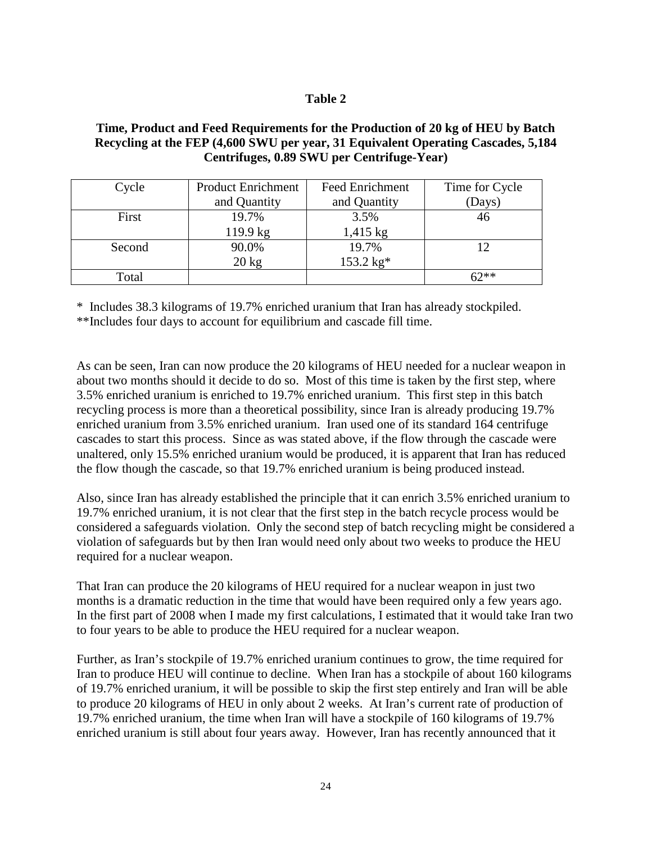#### **Table 2**

## **Time, Product and Feed Requirements for the Production of 20 kg of HEU by Batch Recycling at the FEP (4,600 SWU per year, 31 Equivalent Operating Cascades, 5,184 Centrifuges, 0.89 SWU per Centrifuge-Year)**

| Cycle  | <b>Product Enrichment</b> | <b>Feed Enrichment</b> | Time for Cycle |
|--------|---------------------------|------------------------|----------------|
|        | and Quantity              | and Quantity           | (Days)         |
| First  | 19.7%                     | 3.5%                   |                |
|        | 119.9 kg                  | $1,415 \text{ kg}$     |                |
| Second | 90.0%                     | 19.7%                  |                |
|        | $20 \text{ kg}$           | 153.2 kg*              |                |
| Total  |                           |                        | 67**           |

\* Includes 38.3 kilograms of 19.7% enriched uranium that Iran has already stockpiled.

\*\*Includes four days to account for equilibrium and cascade fill time.

As can be seen, Iran can now produce the 20 kilograms of HEU needed for a nuclear weapon in about two months should it decide to do so. Most of this time is taken by the first step, where 3.5% enriched uranium is enriched to 19.7% enriched uranium. This first step in this batch recycling process is more than a theoretical possibility, since Iran is already producing 19.7% enriched uranium from 3.5% enriched uranium. Iran used one of its standard 164 centrifuge cascades to start this process. Since as was stated above, if the flow through the cascade were unaltered, only 15.5% enriched uranium would be produced, it is apparent that Iran has reduced the flow though the cascade, so that 19.7% enriched uranium is being produced instead.

Also, since Iran has already established the principle that it can enrich 3.5% enriched uranium to 19.7% enriched uranium, it is not clear that the first step in the batch recycle process would be considered a safeguards violation. Only the second step of batch recycling might be considered a violation of safeguards but by then Iran would need only about two weeks to produce the HEU required for a nuclear weapon.

That Iran can produce the 20 kilograms of HEU required for a nuclear weapon in just two months is a dramatic reduction in the time that would have been required only a few years ago. In the first part of 2008 when I made my first calculations, I estimated that it would take Iran two to four years to be able to produce the HEU required for a nuclear weapon.

Further, as Iran's stockpile of 19.7% enriched uranium continues to grow, the time required for Iran to produce HEU will continue to decline. When Iran has a stockpile of about 160 kilograms of 19.7% enriched uranium, it will be possible to skip the first step entirely and Iran will be able to produce 20 kilograms of HEU in only about 2 weeks. At Iran's current rate of production of 19.7% enriched uranium, the time when Iran will have a stockpile of 160 kilograms of 19.7% enriched uranium is still about four years away. However, Iran has recently announced that it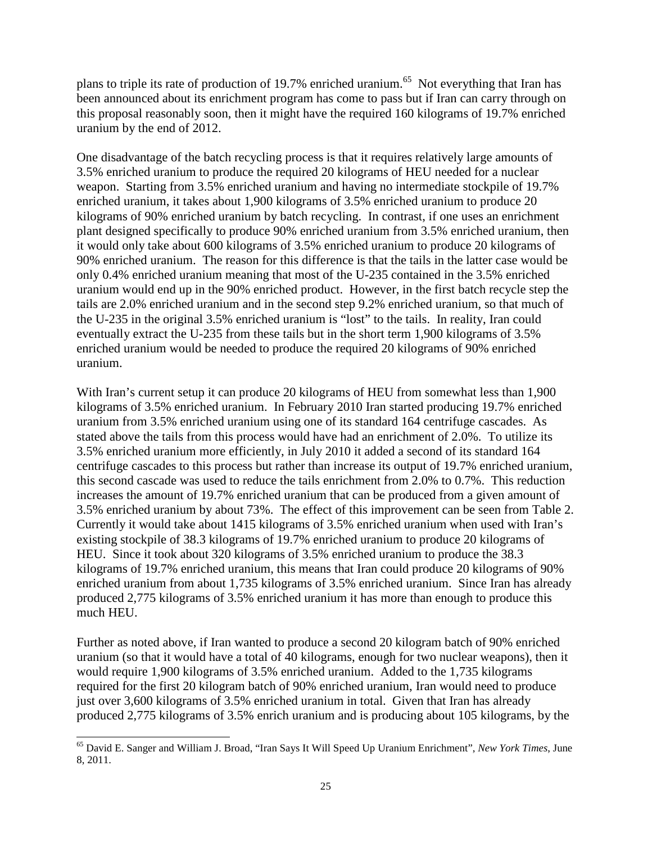plans to triple its rate of production of 19.7% enriched uranium.<sup>65</sup> Not everything that Iran has been announced about its enrichment program has come to pass but if Iran can carry through on this proposal reasonably soon, then it might have the required 160 kilograms of 19.7% enriched uranium by the end of 2012.

One disadvantage of the batch recycling process is that it requires relatively large amounts of 3.5% enriched uranium to produce the required 20 kilograms of HEU needed for a nuclear weapon. Starting from 3.5% enriched uranium and having no intermediate stockpile of 19.7% enriched uranium, it takes about 1,900 kilograms of 3.5% enriched uranium to produce 20 kilograms of 90% enriched uranium by batch recycling. In contrast, if one uses an enrichment plant designed specifically to produce 90% enriched uranium from 3.5% enriched uranium, then it would only take about 600 kilograms of 3.5% enriched uranium to produce 20 kilograms of 90% enriched uranium. The reason for this difference is that the tails in the latter case would be only 0.4% enriched uranium meaning that most of the U-235 contained in the 3.5% enriched uranium would end up in the 90% enriched product. However, in the first batch recycle step the tails are 2.0% enriched uranium and in the second step 9.2% enriched uranium, so that much of the U-235 in the original 3.5% enriched uranium is "lost" to the tails. In reality, Iran could eventually extract the U-235 from these tails but in the short term 1,900 kilograms of 3.5% enriched uranium would be needed to produce the required 20 kilograms of 90% enriched uranium.

With Iran's current setup it can produce 20 kilograms of HEU from somewhat less than 1,900 kilograms of 3.5% enriched uranium. In February 2010 Iran started producing 19.7% enriched uranium from 3.5% enriched uranium using one of its standard 164 centrifuge cascades. As stated above the tails from this process would have had an enrichment of 2.0%. To utilize its 3.5% enriched uranium more efficiently, in July 2010 it added a second of its standard 164 centrifuge cascades to this process but rather than increase its output of 19.7% enriched uranium, this second cascade was used to reduce the tails enrichment from 2.0% to 0.7%. This reduction increases the amount of 19.7% enriched uranium that can be produced from a given amount of 3.5% enriched uranium by about 73%. The effect of this improvement can be seen from Table 2. Currently it would take about 1415 kilograms of 3.5% enriched uranium when used with Iran's existing stockpile of 38.3 kilograms of 19.7% enriched uranium to produce 20 kilograms of HEU. Since it took about 320 kilograms of 3.5% enriched uranium to produce the 38.3 kilograms of 19.7% enriched uranium, this means that Iran could produce 20 kilograms of 90% enriched uranium from about 1,735 kilograms of 3.5% enriched uranium. Since Iran has already produced 2,775 kilograms of 3.5% enriched uranium it has more than enough to produce this much HEU.

Further as noted above, if Iran wanted to produce a second 20 kilogram batch of 90% enriched uranium (so that it would have a total of 40 kilograms, enough for two nuclear weapons), then it would require 1,900 kilograms of 3.5% enriched uranium. Added to the 1,735 kilograms required for the first 20 kilogram batch of 90% enriched uranium, Iran would need to produce just over 3,600 kilograms of 3.5% enriched uranium in total. Given that Iran has already produced 2,775 kilograms of 3.5% enrich uranium and is producing about 105 kilograms, by the

<sup>-</sup><sup>65</sup> David E. Sanger and William J. Broad, "Iran Says It Will Speed Up Uranium Enrichment", *New York Times*, June 8, 2011.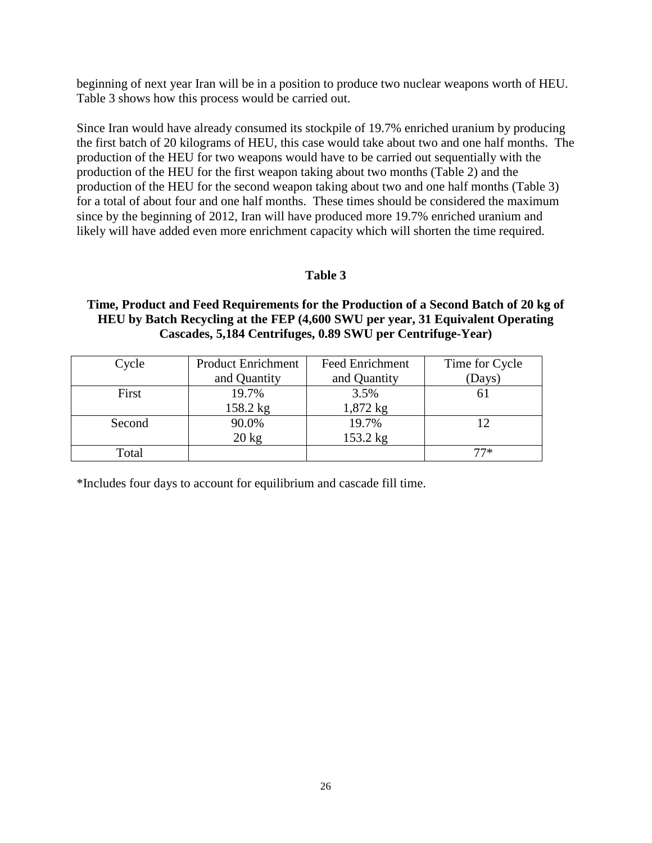beginning of next year Iran will be in a position to produce two nuclear weapons worth of HEU. Table 3 shows how this process would be carried out.

Since Iran would have already consumed its stockpile of 19.7% enriched uranium by producing the first batch of 20 kilograms of HEU, this case would take about two and one half months. The production of the HEU for two weapons would have to be carried out sequentially with the production of the HEU for the first weapon taking about two months (Table 2) and the production of the HEU for the second weapon taking about two and one half months (Table 3) for a total of about four and one half months. These times should be considered the maximum since by the beginning of 2012, Iran will have produced more 19.7% enriched uranium and likely will have added even more enrichment capacity which will shorten the time required.

## **Table 3**

#### **Time, Product and Feed Requirements for the Production of a Second Batch of 20 kg of HEU by Batch Recycling at the FEP (4,600 SWU per year, 31 Equivalent Operating Cascades, 5,184 Centrifuges, 0.89 SWU per Centrifuge-Year)**

| Cycle  | <b>Product Enrichment</b> | <b>Feed Enrichment</b> | Time for Cycle |
|--------|---------------------------|------------------------|----------------|
|        | and Quantity              | and Quantity           | (Days)         |
| First  | 19.7%                     | 3.5%                   |                |
|        | 158.2 kg                  | 1,872 kg               |                |
| Second | 90.0%                     | 19.7%                  |                |
|        | $20 \text{ kg}$           | 153.2 kg               |                |
| Total  |                           |                        | 77*            |

\*Includes four days to account for equilibrium and cascade fill time.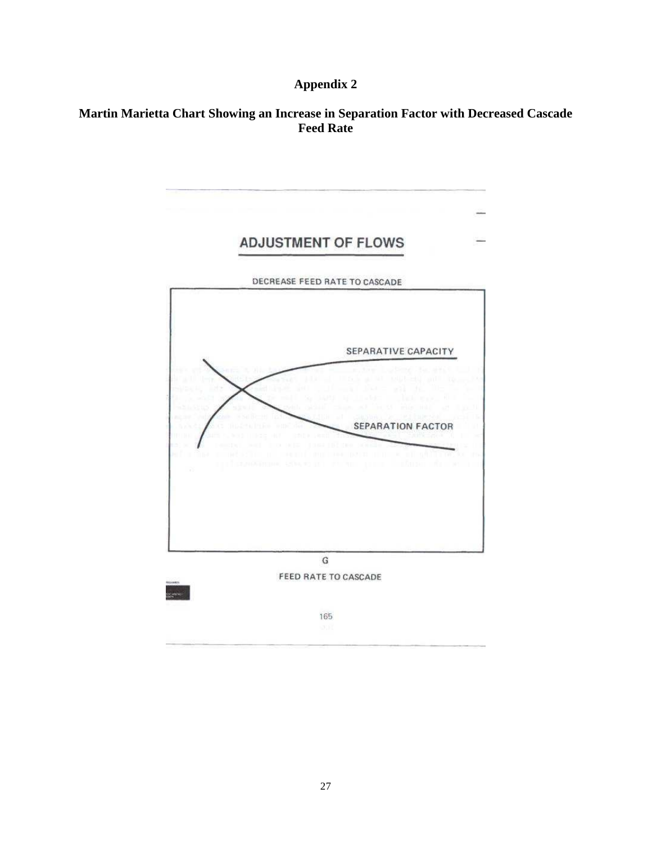# **Appendix 2**

## **Martin Marietta Chart Showing an Increase in Separation Factor with Decreased Cascade Feed Rate**